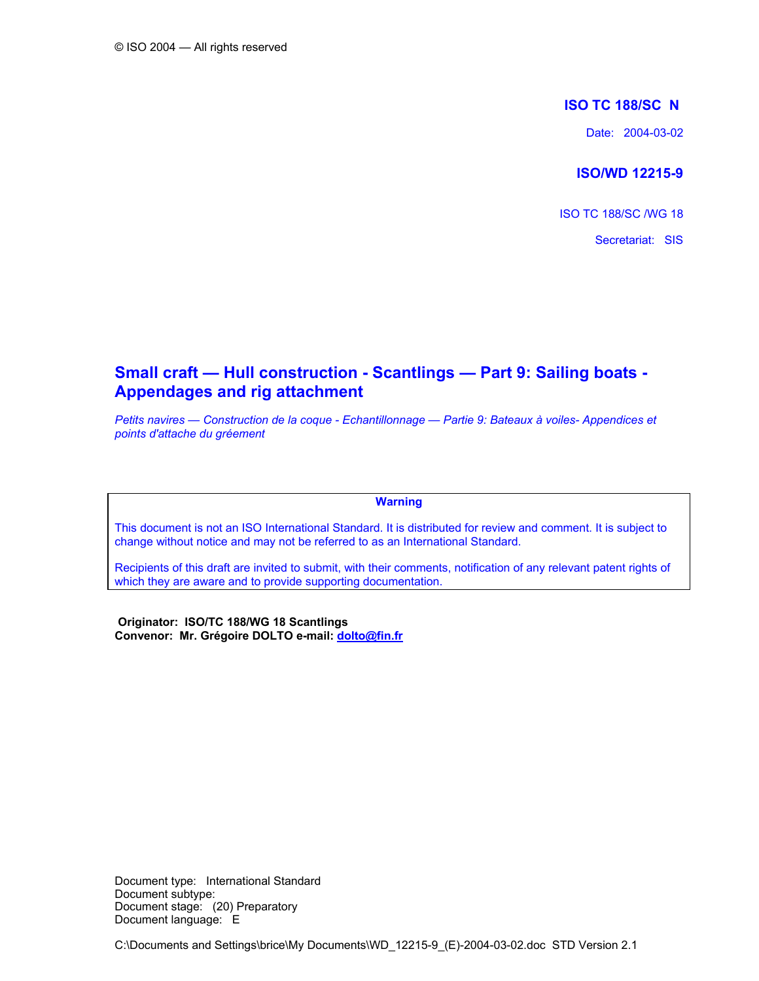## **ISO TC 188/SC N**

Date: 2004-03-02

## **ISO/WD 12215-9**

ISO TC 188/SC /WG 18

Secretariat: SIS

## **Small craft — Hull construction - Scantlings — Part 9: Sailing boats - Appendages and rig attachment**

*Petits navires — Construction de la coque - Echantillonnage — Partie 9: Bateaux à voiles- Appendices et points d'attache du gréement* 

**Warning** 

This document is not an ISO International Standard. It is distributed for review and comment. It is subject to change without notice and may not be referred to as an International Standard.

Recipients of this draft are invited to submit, with their comments, notification of any relevant patent rights of which they are aware and to provide supporting documentation.

 **Originator: ISO/TC 188/WG 18 Scantlings Convenor: Mr. Grégoire DOLTO e-mail: dolto@fin.fr**

Document type: International Standard Document subtype: Document stage: (20) Preparatory Document language: E

C:\Documents and Settings\brice\My Documents\WD\_12215-9\_(E)-2004-03-02.doc STD Version 2.1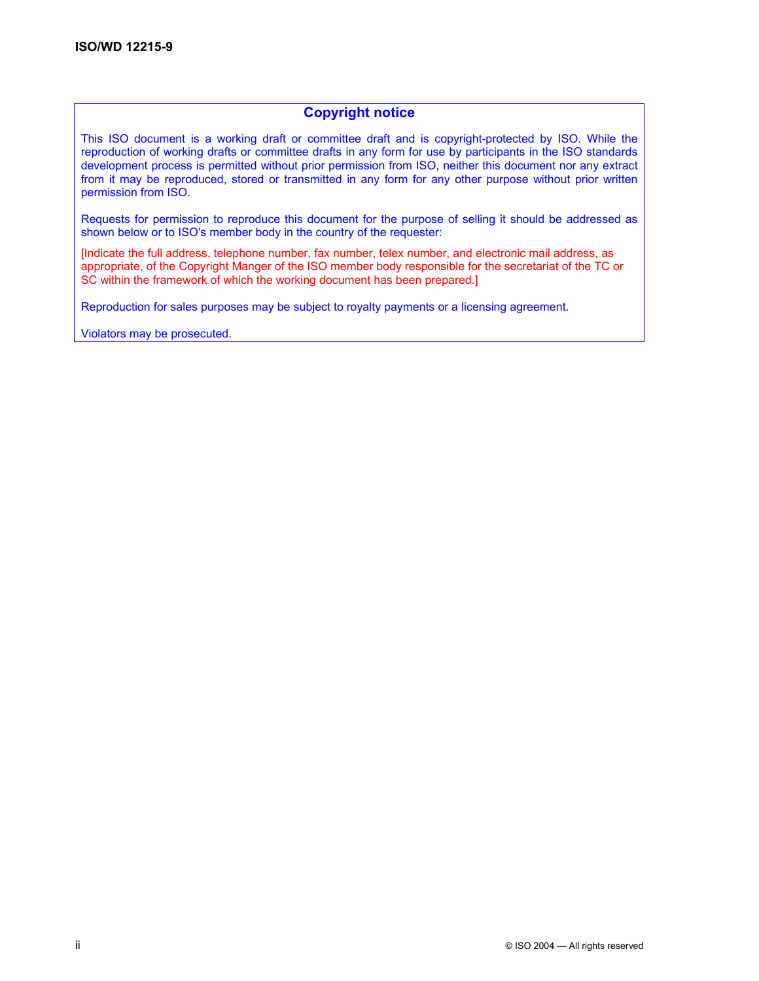## **Copyright notice**

This ISO document is a working draft or committee draft and is copyright-protected by ISO. While the reproduction of working drafts or committee drafts in any form for use by participants in the ISO standards development process is permitted without prior permission from ISO, neither this document nor any extract from it may be reproduced, stored or transmitted in any form for any other purpose without prior written permission from ISO.

Requests for permission to reproduce this document for the purpose of selling it should be addressed as shown below or to ISO's member body in the country of the requester:

[Indicate the full address, telephone number, fax number, telex number, and electronic mail address, as appropriate, of the Copyright Manger of the ISO member body responsible for the secretariat of the TC or SC within the framework of which the working document has been prepared.]

Reproduction for sales purposes may be subject to royalty payments or a licensing agreement.

Violators may be prosecuted.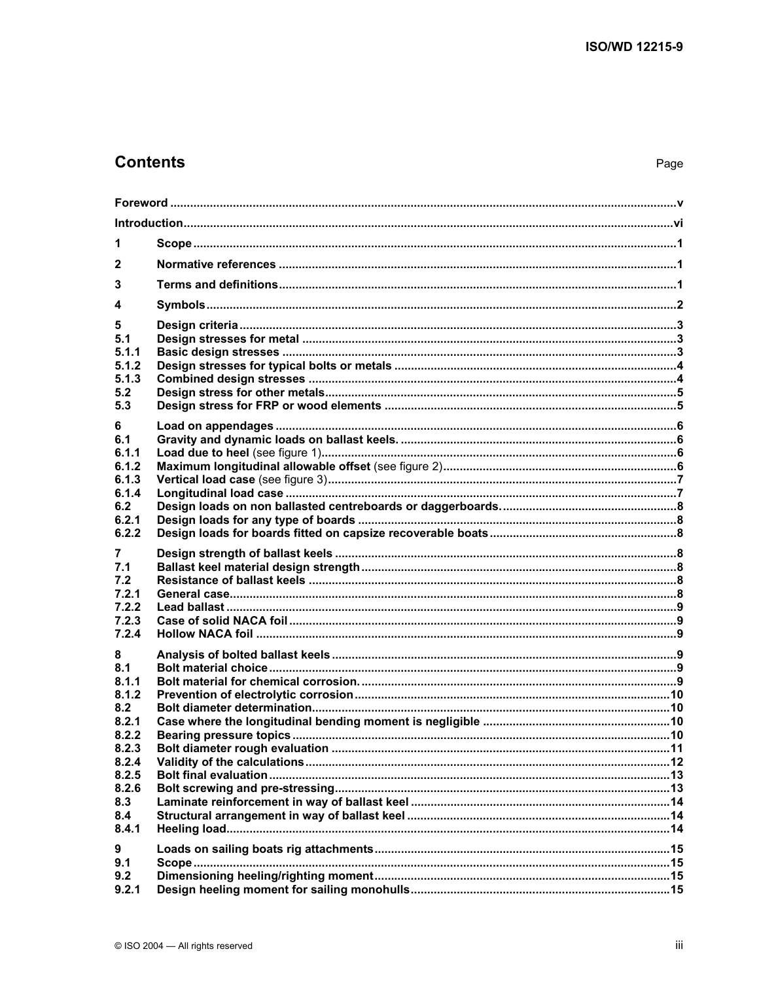# **Contents**

| 1                                                                                                              |  |
|----------------------------------------------------------------------------------------------------------------|--|
| $\mathbf{2}$                                                                                                   |  |
| 3                                                                                                              |  |
| 4                                                                                                              |  |
| 5<br>5.1<br>5.1.1<br>5.1.2<br>5.1.3<br>5.2<br>5.3                                                              |  |
| 6<br>6.1<br>6.1.1<br>6.1.2<br>6.1.3<br>6.1.4<br>6.2<br>6.2.1<br>6.2.2                                          |  |
| 7<br>7.1<br>7.2<br>7.2.1<br>7.2.2<br>7.2.3<br>7.2.4                                                            |  |
| 8<br>8.1<br>8.1.1<br>8.1.2<br>8.2<br>8.2.1<br>8.2.2<br>8.2.3<br>8.2.4<br>8.2.5<br>8.2.6<br>8.3<br>8.4<br>8.4.1 |  |
| 9<br>9.1<br>9.2<br>9.2.1                                                                                       |  |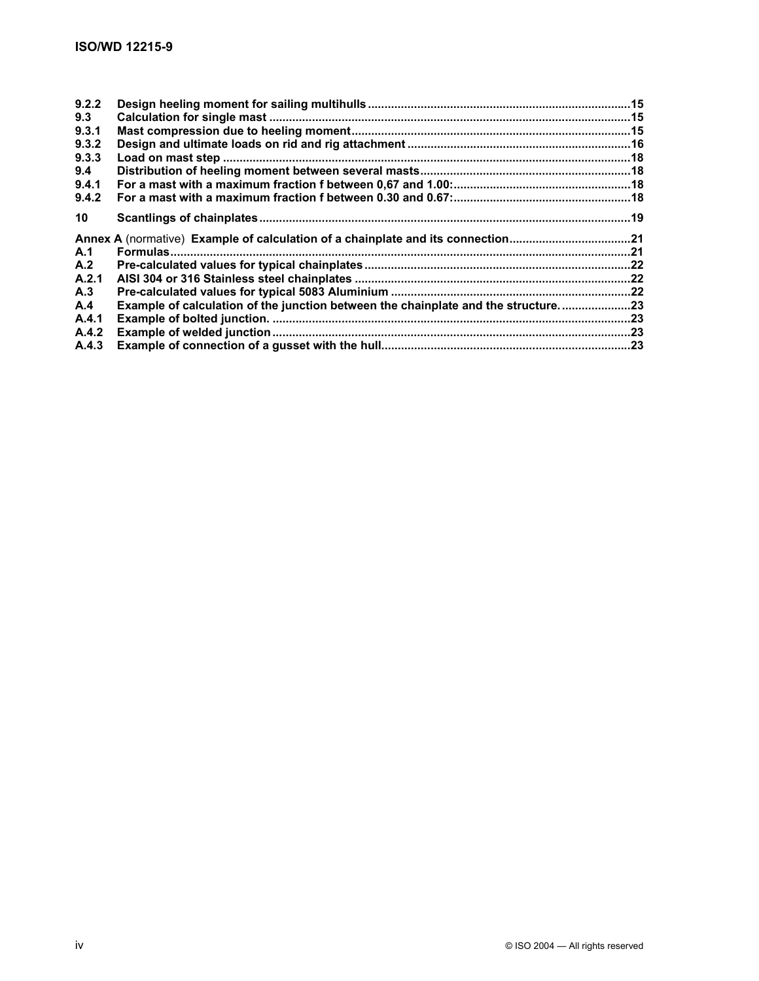| 9.2.2<br>9.3 |                                                                                   |  |
|--------------|-----------------------------------------------------------------------------------|--|
| 9.3.1        |                                                                                   |  |
| 9.3.2        |                                                                                   |  |
| 9.3.3        |                                                                                   |  |
| 9.4          |                                                                                   |  |
| 9.4.1        |                                                                                   |  |
| 9.4.2        |                                                                                   |  |
| 10           |                                                                                   |  |
|              | Annex A (normative) Example of calculation of a chainplate and its connection21   |  |
| A.1          |                                                                                   |  |
| A.2          |                                                                                   |  |
| A.2.1        |                                                                                   |  |
| A.3          |                                                                                   |  |
| A.4          | Example of calculation of the junction between the chainplate and the structure23 |  |
| A.4.1        |                                                                                   |  |
|              |                                                                                   |  |
| A.4.2        |                                                                                   |  |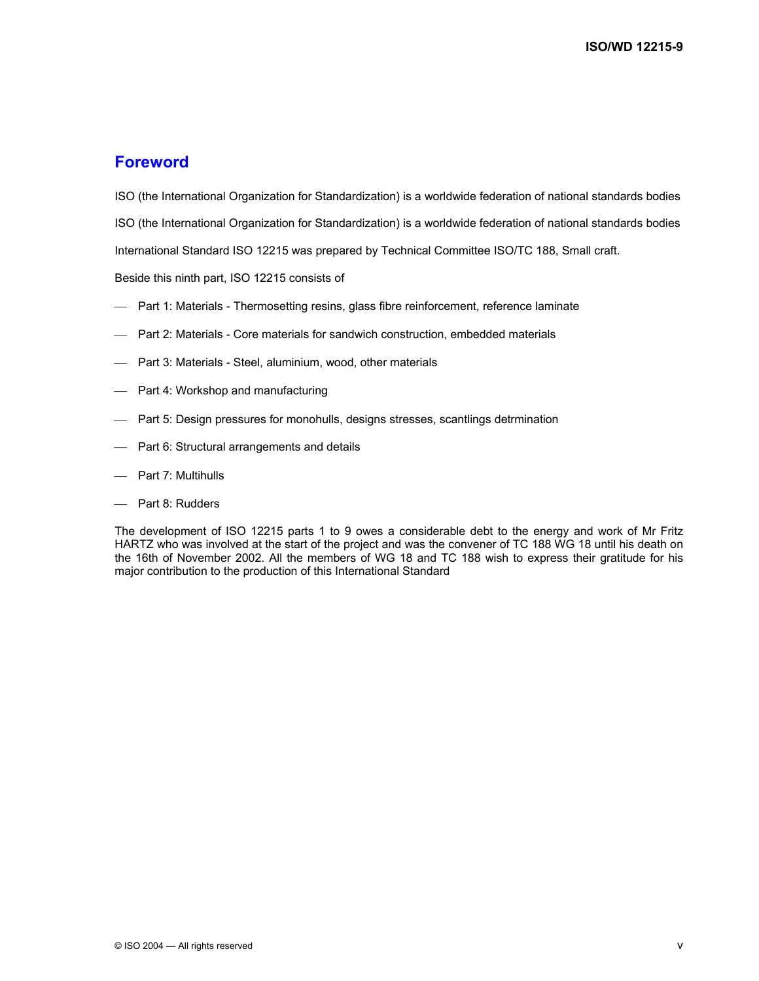## **Foreword**

ISO (the International Organization for Standardization) is a worldwide federation of national standards bodies

ISO (the International Organization for Standardization) is a worldwide federation of national standards bodies

International Standard ISO 12215 was prepared by Technical Committee ISO/TC 188, Small craft.

Beside this ninth part, ISO 12215 consists of

- Part 1: Materials Thermosetting resins, glass fibre reinforcement, reference laminate
- Part 2: Materials Core materials for sandwich construction, embedded materials
- $-$  Part 3: Materials Steel, aluminium, wood, other materials
- Part 4: Workshop and manufacturing
- Part 5: Design pressures for monohulls, designs stresses, scantlings detrmination
- Part 6: Structural arrangements and details
- Part 7: Multihulls
- Part 8: Rudders

The development of ISO 12215 parts 1 to 9 owes a considerable debt to the energy and work of Mr Fritz HARTZ who was involved at the start of the project and was the convener of TC 188 WG 18 until his death on the 16th of November 2002. All the members of WG 18 and TC 188 wish to express their gratitude for his major contribution to the production of this International Standard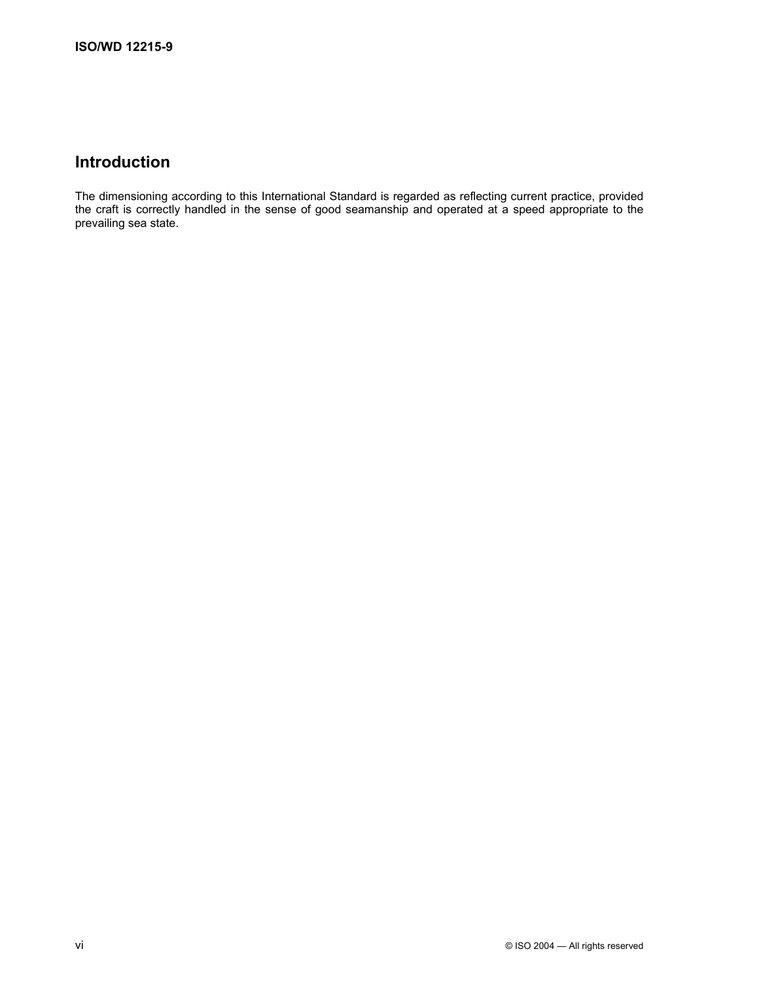# **Introduction**

The dimensioning according to this International Standard is regarded as reflecting current practice, provided the craft is correctly handled in the sense of good seamanship and operated at a speed appropriate to the prevailing sea state.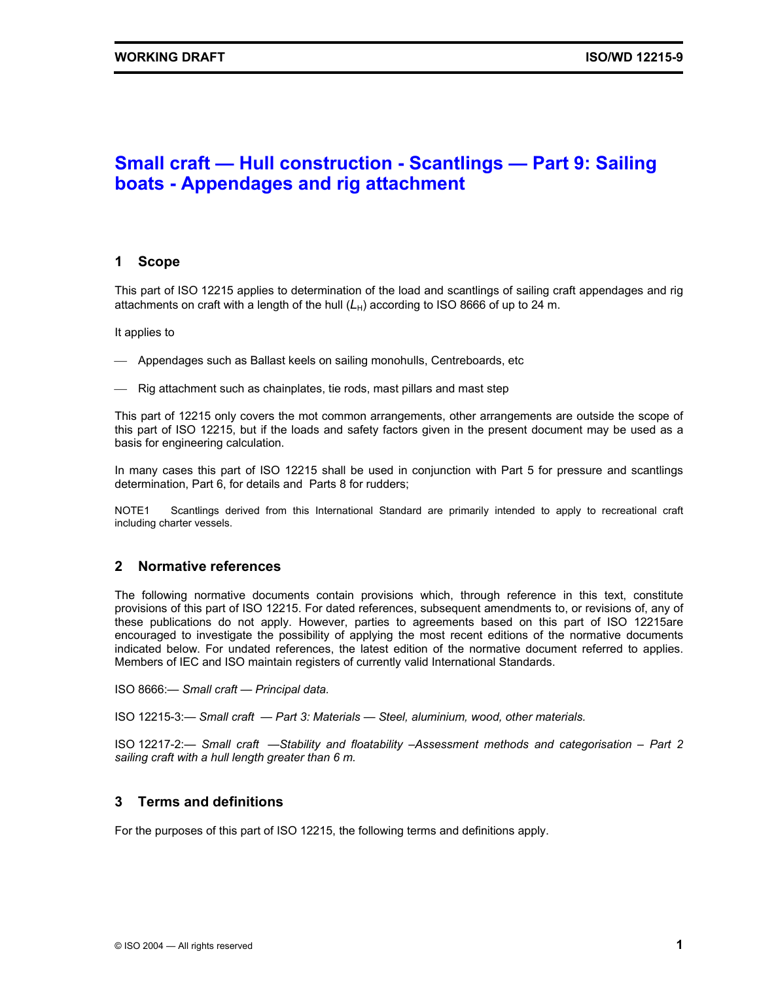# **Small craft — Hull construction - Scantlings — Part 9: Sailing boats - Appendages and rig attachment**

## **1 Scope**

This part of ISO 12215 applies to determination of the load and scantlings of sailing craft appendages and rig attachments on craft with a length of the hull  $(L_H)$  according to ISO 8666 of up to 24 m.

It applies to

- Appendages such as Ballast keels on sailing monohulls, Centreboards, etc
- Rig attachment such as chainplates, tie rods, mast pillars and mast step

This part of 12215 only covers the mot common arrangements, other arrangements are outside the scope of this part of ISO 12215, but if the loads and safety factors given in the present document may be used as a basis for engineering calculation.

In many cases this part of ISO 12215 shall be used in conjunction with Part 5 for pressure and scantlings determination, Part 6, for details and Parts 8 for rudders;

NOTE1 Scantlings derived from this International Standard are primarily intended to apply to recreational craft including charter vessels.

#### **2 Normative references**

The following normative documents contain provisions which, through reference in this text, constitute provisions of this part of ISO 12215. For dated references, subsequent amendments to, or revisions of, any of these publications do not apply. However, parties to agreements based on this part of ISO 12215are encouraged to investigate the possibility of applying the most recent editions of the normative documents indicated below. For undated references, the latest edition of the normative document referred to applies. Members of IEC and ISO maintain registers of currently valid International Standards.

ISO 8666:— *Small craft — Principal data.*

ISO 12215-3:— *Small craft — Part 3: Materials — Steel, aluminium, wood, other materials.* 

ISO 12217-2:— *Small craft —Stability and floatability –Assessment methods and categorisation – Part 2 sailing craft with a hull length greater than 6 m.* 

#### **3 Terms and definitions**

For the purposes of this part of ISO 12215, the following terms and definitions apply.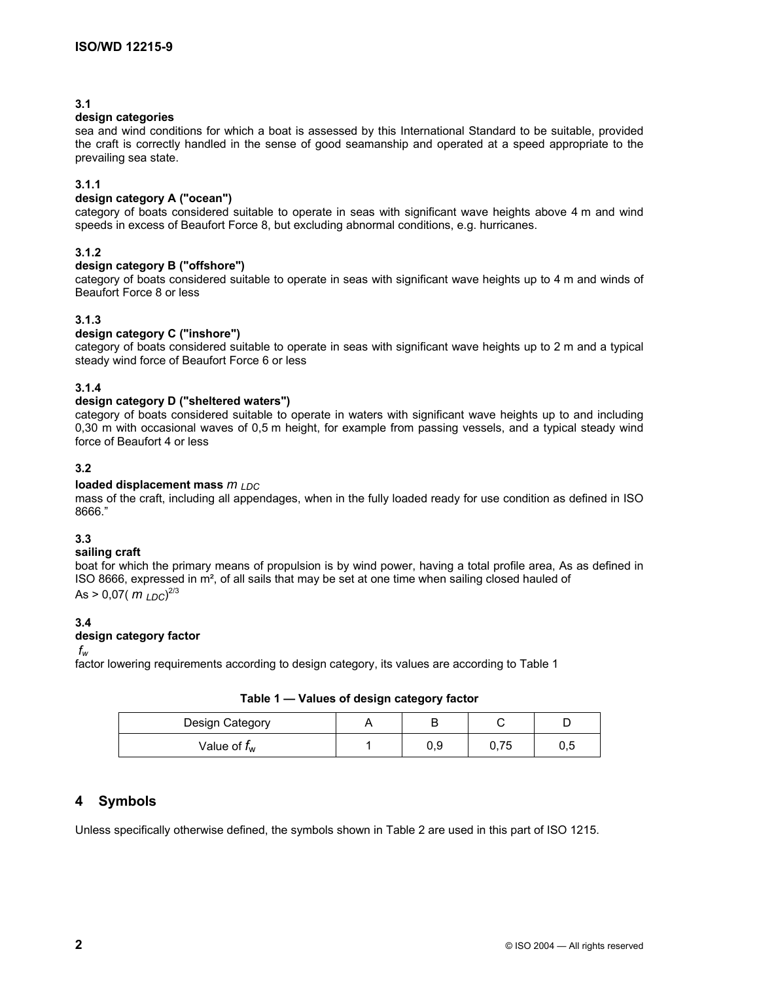## **3.1**

#### **design categories**

sea and wind conditions for which a boat is assessed by this International Standard to be suitable, provided the craft is correctly handled in the sense of good seamanship and operated at a speed appropriate to the prevailing sea state.

#### **3.1.1**

#### **design category A ("ocean")**

category of boats considered suitable to operate in seas with significant wave heights above 4 m and wind speeds in excess of Beaufort Force 8, but excluding abnormal conditions, e.g. hurricanes.

#### **3.1.2**

#### **design category B ("offshore")**

category of boats considered suitable to operate in seas with significant wave heights up to 4 m and winds of Beaufort Force 8 or less

#### **3.1.3**

#### **design category C ("inshore")**

category of boats considered suitable to operate in seas with significant wave heights up to 2 m and a typical steady wind force of Beaufort Force 6 or less

## **3.1.4**

#### **design category D ("sheltered waters")**

category of boats considered suitable to operate in waters with significant wave heights up to and including 0,30 m with occasional waves of 0,5 m height, for example from passing vessels, and a typical steady wind force of Beaufort 4 or less

#### **3.2**

#### **loaded displacement mass** *m LDC*

mass of the craft, including all appendages, when in the fully loaded ready for use condition as defined in ISO 8666."

#### **3.3**

#### **sailing craft**

boat for which the primary means of propulsion is by wind power, having a total profile area, As as defined in ISO 8666, expressed in  $m^2$ , of all sails that may be set at one time when sailing closed hauled of As > 0,07( *m LDC*) 2/3

## **3.4**

## **design category factor**

*fw*

factor lowering requirements according to design category, its values are according to Table 1

#### **Table 1 — Values of design category factor**

| Design Category      |     |      |                 |
|----------------------|-----|------|-----------------|
| Value of $f_{\rm w}$ | υ.⊌ | 0,75 | <b>.</b><br>v,J |

## **4 Symbols**

Unless specifically otherwise defined, the symbols shown in Table 2 are used in this part of ISO 1215.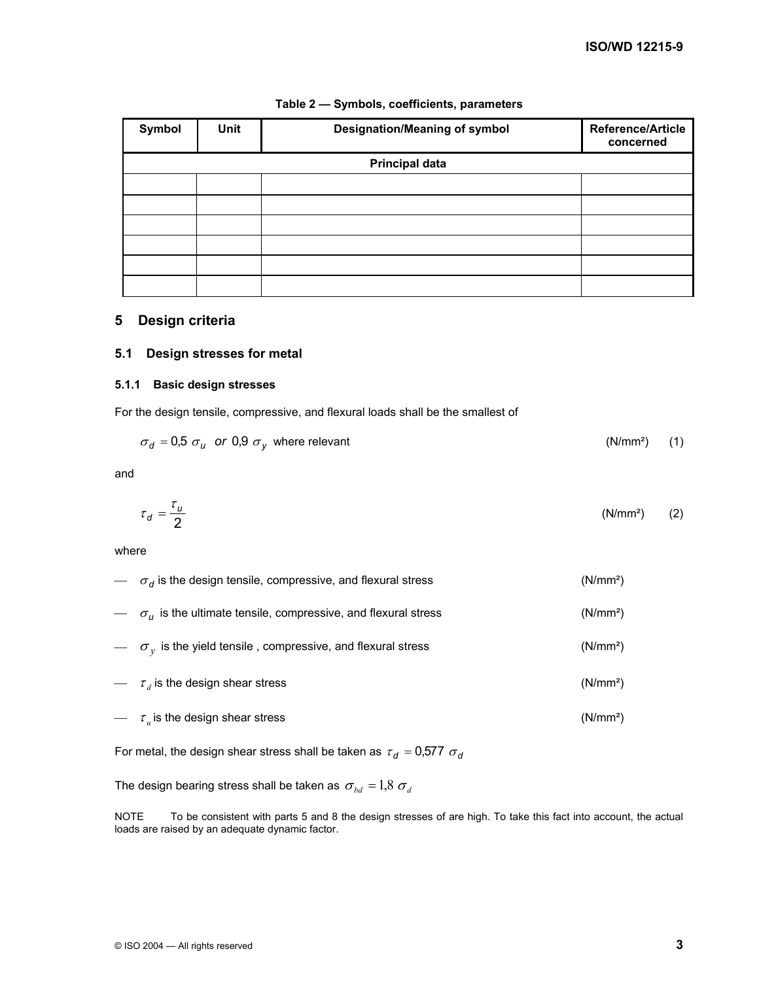| Symbol | Unit                  | <b>Designation/Meaning of symbol</b> | Reference/Article<br>concerned |  |  |  |  |
|--------|-----------------------|--------------------------------------|--------------------------------|--|--|--|--|
|        | <b>Principal data</b> |                                      |                                |  |  |  |  |
|        |                       |                                      |                                |  |  |  |  |
|        |                       |                                      |                                |  |  |  |  |
|        |                       |                                      |                                |  |  |  |  |
|        |                       |                                      |                                |  |  |  |  |
|        |                       |                                      |                                |  |  |  |  |
|        |                       |                                      |                                |  |  |  |  |

## **Table 2 — Symbols, coefficients, parameters**

## **5 Design criteria**

#### **5.1 Design stresses for metal**

#### **5.1.1 Basic design stresses**

For the design tensile, compressive, and flexural loads shall be the smallest of

$$
\sigma_d = 0.5 \sigma_u \text{ or } 0.9 \sigma_y \text{ where relevant}
$$
 (N/mm<sup>2</sup>) (1)

and

$$
\tau_d = \frac{\tau_u}{2} \tag{N/mm²}
$$

where

| $-\sigma_d$ is the design tensile, compressive, and flexural stress       | (N/mm <sup>2</sup> ) |
|---------------------------------------------------------------------------|----------------------|
| $-\sigma_{\mu}$ is the ultimate tensile, compressive, and flexural stress | (N/mm <sup>2</sup> ) |
| $-\sigma_{v}$ is the yield tensile, compressive, and flexural stress      | (N/mm <sup>2</sup> ) |
| $-\tau_d$ is the design shear stress                                      | (N/mm <sup>2</sup> ) |
| $-\tau_{\nu}$ is the design shear stress                                  | (N/mm <sup>2</sup> ) |

For metal, the design shear stress shall be taken as  $\tau_d = 0.577 \sigma_d$ 

The design bearing stress shall be taken as  $\sigma_{bd} = 1.8 \sigma_d$ 

NOTE To be consistent with parts 5 and 8 the design stresses of are high. To take this fact into account, the actual loads are raised by an adequate dynamic factor.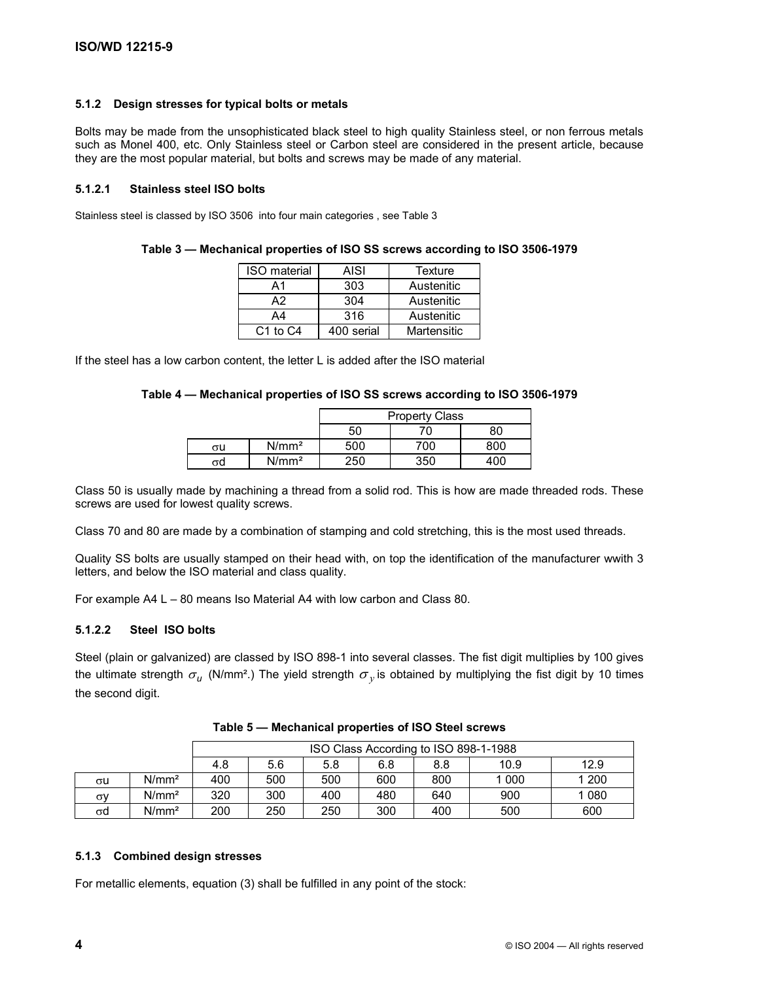#### **5.1.2 Design stresses for typical bolts or metals**

Bolts may be made from the unsophisticated black steel to high quality Stainless steel, or non ferrous metals such as Monel 400, etc. Only Stainless steel or Carbon steel are considered in the present article, because they are the most popular material, but bolts and screws may be made of any material.

#### **5.1.2.1 Stainless steel ISO bolts**

Stainless steel is classed by ISO 3506 into four main categories , see Table 3

|  | Table 3 - Mechanical properties of ISO SS screws according to ISO 3506-1979 |  |
|--|-----------------------------------------------------------------------------|--|
|--|-----------------------------------------------------------------------------|--|

| <b>ISO</b> material | AISI       | Texture     |
|---------------------|------------|-------------|
| А1                  | 303        | Austenitic  |
| Δ2                  | 304        | Austenitic  |
| A4                  | 316        | Austenitic  |
| $C1$ to $C4$        | 400 serial | Martensitic |

If the steel has a low carbon content, the letter L is added after the ISO material

#### **Table 4 — Mechanical properties of ISO SS screws according to ISO 3506-1979**

|    |                   | <b>Property Class</b> |     |     |  |  |
|----|-------------------|-----------------------|-----|-----|--|--|
|    |                   | 50                    |     | 80  |  |  |
| σU | N/mm <sup>2</sup> | 500                   | 700 | 800 |  |  |
| σd | $N/mm^2$          | 250                   | 350 | roc |  |  |

Class 50 is usually made by machining a thread from a solid rod. This is how are made threaded rods. These screws are used for lowest quality screws.

Class 70 and 80 are made by a combination of stamping and cold stretching, this is the most used threads.

Quality SS bolts are usually stamped on their head with, on top the identification of the manufacturer wwith 3 letters, and below the ISO material and class quality.

For example A4 L – 80 means Iso Material A4 with low carbon and Class 80.

#### **5.1.2.2 Steel ISO bolts**

Steel (plain or galvanized) are classed by ISO 898-1 into several classes. The fist digit multiplies by 100 gives the ultimate strength  $\sigma_u$  (N/mm<sup>2</sup>.) The yield strength  $\sigma_v$  is obtained by multiplying the fist digit by 10 times the second digit.

|    |                   |     | ISO Class According to ISO 898-1-1988 |     |     |     |         |      |
|----|-------------------|-----|---------------------------------------|-----|-----|-----|---------|------|
|    |                   | 4.8 | 5.6                                   | 5.8 | 6.8 | 8.8 | 10.9    | 12.9 |
| σu | $N/mm^2$          | 400 | 500                                   | 500 | 600 | 800 | 1 0 0 0 | 200  |
| σν | N/mm <sup>2</sup> | 320 | 300                                   | 400 | 480 | 640 | 900     | 1080 |
| σd | N/mm <sup>2</sup> | 200 | 250                                   | 250 | 300 | 400 | 500     | 600  |

**Table 5 — Mechanical properties of ISO Steel screws** 

## **5.1.3 Combined design stresses**

For metallic elements, equation (3) shall be fulfilled in any point of the stock: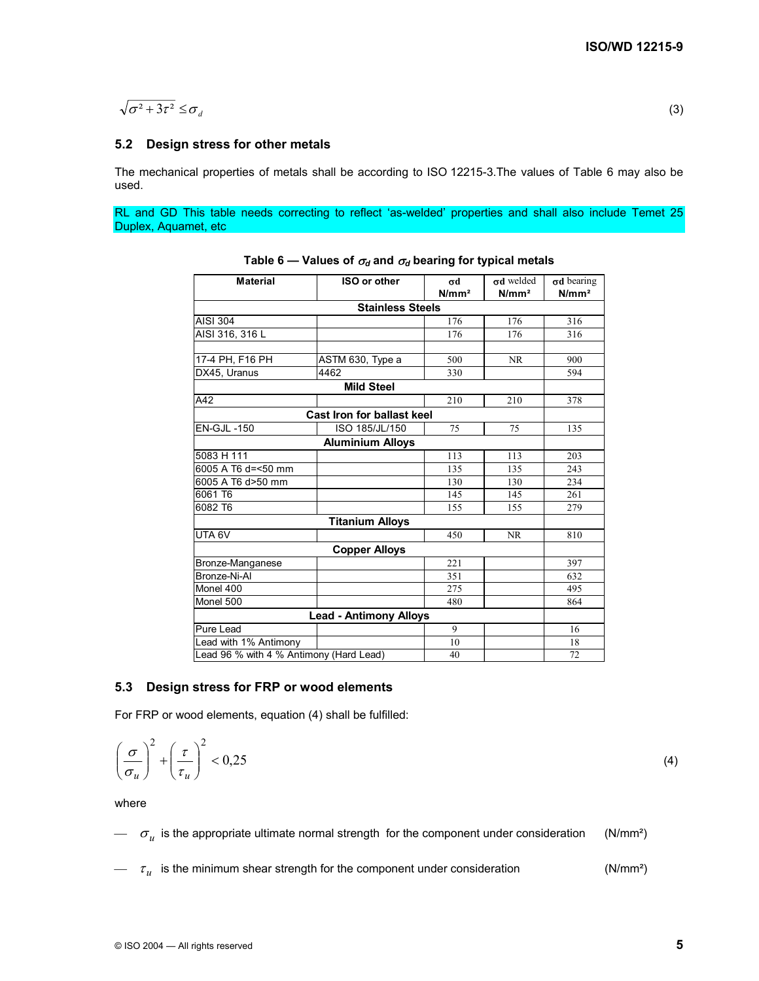$$
\sqrt{\sigma^2 + 3\tau^2} \leq \sigma_d \tag{3}
$$

## **5.2 Design stress for other metals**

The mechanical properties of metals shall be according to ISO 12215-3.The values of Table 6 may also be used.

RL and GD This table needs correcting to reflect 'as-welded' properties and shall also include Temet 25 Duplex, Aquamet, etc

| <b>Material</b>                         | <b>ISO or other</b>           | σd                | $\sigma$ d welded | $\sigma$ d bearing |
|-----------------------------------------|-------------------------------|-------------------|-------------------|--------------------|
|                                         |                               | N/mm <sup>2</sup> | N/mm <sup>2</sup> | N/mm <sup>2</sup>  |
|                                         | <b>Stainless Steels</b>       |                   |                   |                    |
| AISI 304                                |                               | 176               | 176               | 316                |
| AISI 316, 316 L                         |                               | 176               | 176               | 316                |
|                                         |                               |                   |                   |                    |
| 17-4 PH, F16 PH                         | ASTM 630, Type a              | 500               | <b>NR</b>         | 900                |
| DX45, Uranus                            | 4462                          | 330               |                   | 594                |
|                                         | <b>Mild Steel</b>             |                   |                   |                    |
| A42                                     |                               | 210               | 210               | 378                |
|                                         | Cast Iron for ballast keel    |                   |                   |                    |
| <b>EN-GJL -150</b>                      | ISO 185/JL/150                | 75                | 75                | 135                |
|                                         | <b>Aluminium Alloys</b>       |                   |                   |                    |
| 5083 H 111                              |                               | 113               | 113               | 203                |
| 6005 A T6 d=<50 mm                      |                               | 135               | 135               | 243                |
| 6005 A T6 d>50 mm                       |                               | 130               | 130               | 234                |
| 6061 T6                                 |                               | 145               | 145               | 261                |
| 6082 T6                                 |                               | 155               | 155               | 279                |
|                                         | <b>Titanium Alloys</b>        |                   |                   |                    |
| UTA 6V                                  |                               | 450               | NR.               | 810                |
|                                         | <b>Copper Alloys</b>          |                   |                   |                    |
| Bronze-Manganese                        |                               | 221               |                   | 397                |
| Bronze-Ni-Al                            |                               | 351               |                   | 632                |
| Monel 400                               |                               | 275               |                   | 495                |
| Monel 500                               |                               | 480               |                   | 864                |
|                                         | <b>Lead - Antimony Alloys</b> |                   |                   |                    |
| Pure Lead                               |                               | 9                 |                   | 16                 |
| Lead with 1% Antimony                   |                               | 10                |                   | 18                 |
| Lead 96 % with 4 % Antimony (Hard Lead) |                               | 40                |                   | 72                 |

Table 6 – Values of  $\sigma_d$  and  $\sigma_d$  bearing for typical metals

#### **5.3 Design stress for FRP or wood elements**

For FRP or wood elements, equation (4) shall be fulfilled:

$$
\left(\frac{\sigma}{\sigma_u}\right)^2 + \left(\frac{\tau}{\tau_u}\right)^2 < 0.25\tag{4}
$$

where

 $-\sigma_u$  is the appropriate ultimate normal strength for the component under consideration (N/mm<sup>2</sup>)

 $u = \tau_u$  is the minimum shear strength for the component under consideration  $( N/mm^2 )$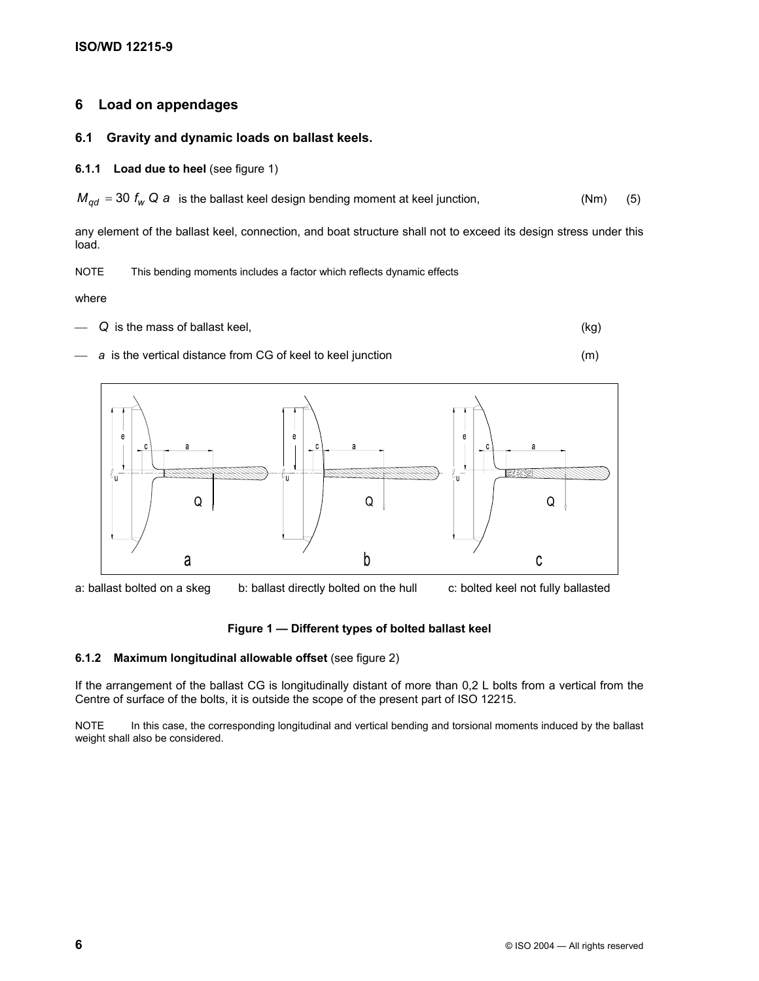## **6 Load on appendages**

#### **6.1 Gravity and dynamic loads on ballast keels.**

**6.1.1 Load due to heel** (see figure 1)

 $M_{\text{ad}} = 30$   $f_{\text{w}}$  *Q a* is the ballast keel design bending moment at keel junction, (Nm) (5)

any element of the ballast keel, connection, and boat structure shall not to exceed its design stress under this load.

NOTE This bending moments includes a factor which reflects dynamic effects

where

- *Q* is the mass of ballast keel, (kg)
- *a* is the vertical distance from CG of keel to keel junction (m)



a: ballast bolted on a skeg b: ballast directly bolted on the hull c: bolted keel not fully ballasted

#### **Figure 1 — Different types of bolted ballast keel**

#### **6.1.2 Maximum longitudinal allowable offset** (see figure 2)

If the arrangement of the ballast CG is longitudinally distant of more than 0,2 L bolts from a vertical from the Centre of surface of the bolts, it is outside the scope of the present part of ISO 12215.

NOTE In this case, the corresponding longitudinal and vertical bending and torsional moments induced by the ballast weight shall also be considered.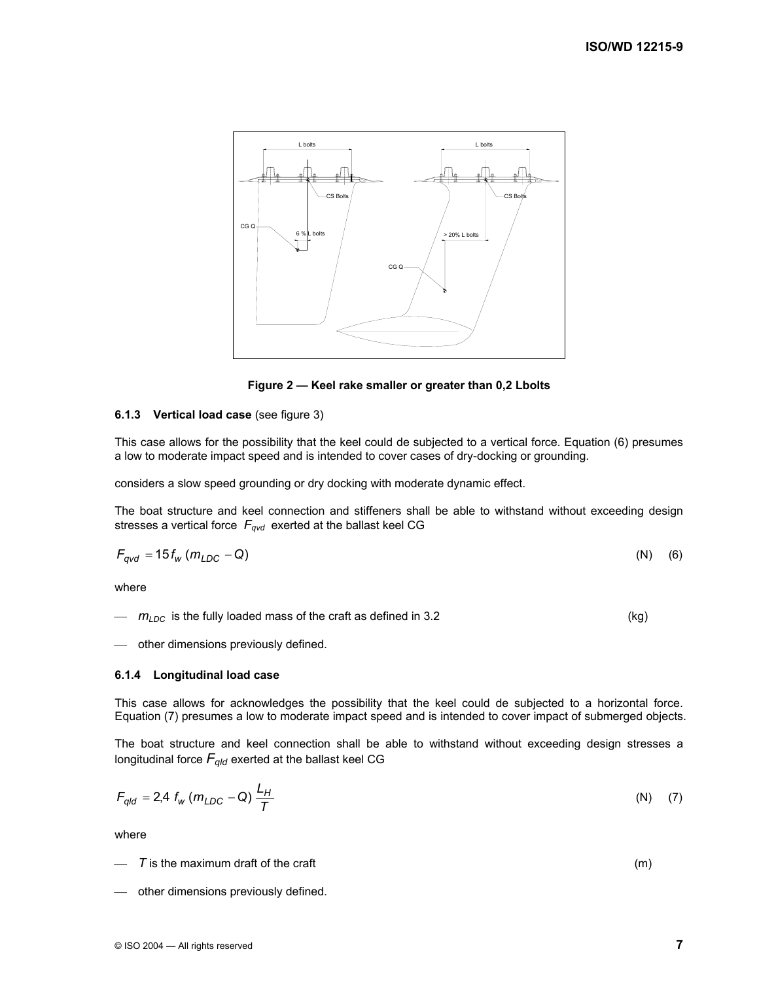

**Figure 2 — Keel rake smaller or greater than 0,2 Lbolts** 

#### **6.1.3 Vertical load case** (see figure 3)

This case allows for the possibility that the keel could de subjected to a vertical force. Equation (6) presumes a low to moderate impact speed and is intended to cover cases of dry-docking or grounding.

considers a slow speed grounding or dry docking with moderate dynamic effect.

The boat structure and keel connection and stiffeners shall be able to withstand without exceeding design stresses a vertical force  $F_{\text{qvd}}$  exerted at the ballast keel CG

$$
F_{\text{qvd}} = 15f_{\text{w}} \left( m_{\text{LDC}} - Q \right) \tag{N} \tag{6}
$$

where

 $m_{\text{LDC}}$  is the fully loaded mass of the craft as defined in 3.2 (kg)

 $-$  other dimensions previously defined.

#### **6.1.4 Longitudinal load case**

This case allows for acknowledges the possibility that the keel could de subjected to a horizontal force. Equation (7) presumes a low to moderate impact speed and is intended to cover impact of submerged objects.

The boat structure and keel connection shall be able to withstand without exceeding design stresses a longitudinal force  $F_{qd}$  exerted at the ballast keel CG

$$
F_{qld} = 2.4 f_w (m_{LDC} - Q) \frac{L_H}{T}
$$
 (N) (7)

where

- *T* is the maximum draft of the craft  $(m)$
- other dimensions previously defined.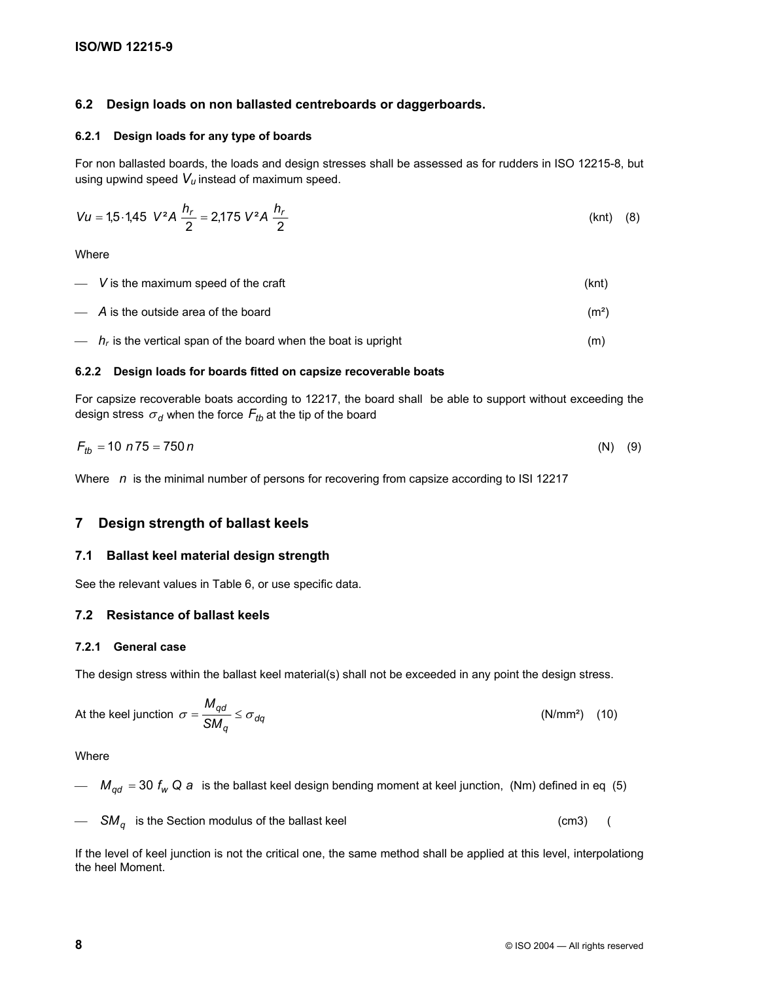#### **6.2 Design loads on non ballasted centreboards or daggerboards.**

#### **6.2.1 Design loads for any type of boards**

For non ballasted boards, the loads and design stresses shall be assessed as for rudders in ISO 12215-8, but using upwind speed  $V_{\mu}$  instead of maximum speed.

$$
Vu = 1.5 \cdot 1.45 \quad V^2 A \; \frac{h_r}{2} = 2.175 \; V^2 A \; \frac{h_r}{2} \tag{knt} \tag{8}
$$

Where

| $\hspace{0.1cm}\longrightarrow\hspace{0.1cm}$ V is the maximum speed of the craft | (knt)             |
|-----------------------------------------------------------------------------------|-------------------|
| - A is the outside area of the board                                              | (m <sup>2</sup> ) |

 $h_r$  is the vertical span of the board when the boat is upright  $(m)$ 

#### **6.2.2 Design loads for boards fitted on capsize recoverable boats**

For capsize recoverable boats according to 12217, the board shall be able to support without exceeding the design stress  $\sigma_d$  when the force  $F_{tb}$  at the tip of the board

$$
F_{tb} = 10 \, n75 = 750 \, n \tag{N}
$$

Where *n* is the minimal number of persons for recovering from capsize according to ISI 12217

## **7 Design strength of ballast keels**

#### **7.1 Ballast keel material design strength**

See the relevant values in Table 6, or use specific data.

#### **7.2 Resistance of ballast keels**

#### **7.2.1 General case**

The design stress within the ballast keel material(s) shall not be exceeded in any point the design stress.

At the keel junction 
$$
\sigma = \frac{M_{qd}}{SM_q} \le \sigma_{dq}
$$
 (N/mm<sup>2</sup>) (10)

Where

$$
M_{qd} = 30 f_w Q a
$$
 is the ballast keel design bending moment at keel junction, (Nm) defined in eq (5)

$$
- SMq is the Section modulus of the ballast keel
$$
 (cm3)

If the level of keel junction is not the critical one, the same method shall be applied at this level, interpolationg the heel Moment.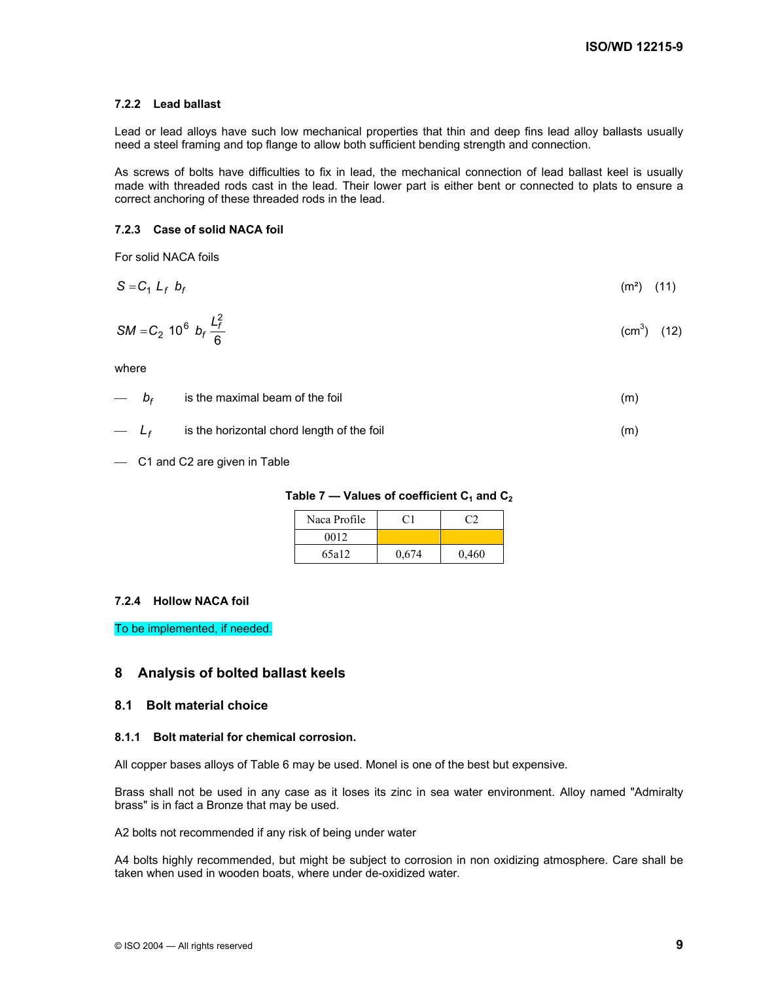#### **7.2.2 Lead ballast**

Lead or lead alloys have such low mechanical properties that thin and deep fins lead alloy ballasts usually need a steel framing and top flange to allow both sufficient bending strength and connection.

As screws of bolts have difficulties to fix in lead, the mechanical connection of lead ballast keel is usually made with threaded rods cast in the lead. Their lower part is either bent or connected to plats to ensure a correct anchoring of these threaded rods in the lead.

#### **7.2.3 Case of solid NACA foil**

For solid NACA foils

$$
S = C_1 L_f b_f \tag{11}
$$

$$
SM = C_2 \ 10^6 \ b_f \frac{L_f^2}{6} \tag{12}
$$

where

 $b_f$  is the maximal beam of the foil  $(m)$ 

- $\mu$ , is the horizontal chord length of the foil  $(m)$  (m)
- C1 and C2 are given in Table

#### Table 7 — Values of coefficient  $C_1$  and  $C_2$

| Naca Profile | M     |       |
|--------------|-------|-------|
| 0012         |       |       |
| 65a12        | 0.674 | 0,460 |

#### **7.2.4 Hollow NACA foil**

To be implemented, if needed.

#### **8 Analysis of bolted ballast keels**

#### **8.1 Bolt material choice**

#### **8.1.1 Bolt material for chemical corrosion.**

All copper bases alloys of Table 6 may be used. Monel is one of the best but expensive.

Brass shall not be used in any case as it loses its zinc in sea water environment. Alloy named "Admiralty brass" is in fact a Bronze that may be used.

A2 bolts not recommended if any risk of being under water

A4 bolts highly recommended, but might be subject to corrosion in non oxidizing atmosphere. Care shall be taken when used in wooden boats, where under de-oxidized water.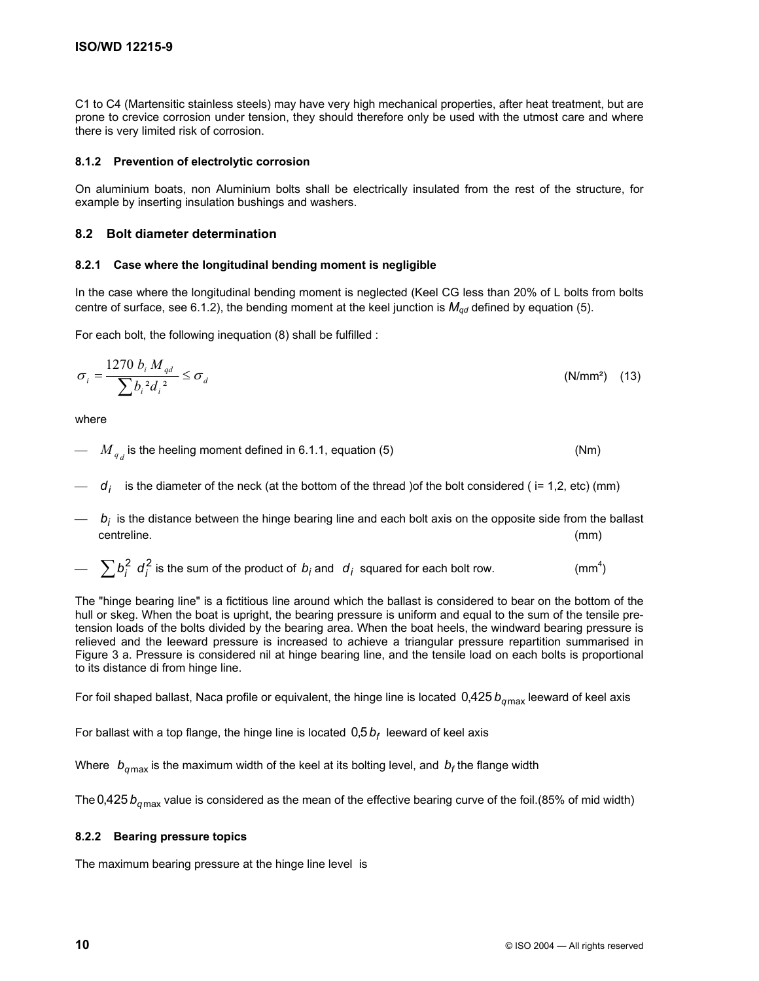C1 to C4 (Martensitic stainless steels) may have very high mechanical properties, after heat treatment, but are prone to crevice corrosion under tension, they should therefore only be used with the utmost care and where there is very limited risk of corrosion.

#### **8.1.2 Prevention of electrolytic corrosion**

On aluminium boats, non Aluminium bolts shall be electrically insulated from the rest of the structure, for example by inserting insulation bushings and washers.

#### **8.2 Bolt diameter determination**

#### **8.2.1 Case where the longitudinal bending moment is negligible**

In the case where the longitudinal bending moment is neglected (Keel CG less than 20% of L bolts from bolts centre of surface, see 6.1.2), the bending moment at the keel junction is  $M_{qd}$  defined by equation (5).

For each bolt, the following inequation (8) shall be fulfilled :

$$
\sigma_i = \frac{1270 \ b_i M_{qd}}{\sum b_i^2 d_i^2} \le \sigma_d \tag{N/mm²}
$$

where

- $\mu$  *M*  $_{q_d}$  is the heeling moment defined in 6.1.1, equation (5) (Nm)
- $\frac{d}{i}$  is the diameter of the neck (at the bottom of the thread )of the bolt considered ( $i=1,2$ , etc) (mm)
- $b_i$  is the distance between the hinge bearing line and each bolt axis on the opposite side from the ballast centreline. (mm)
- $\sum b_i^2 d_i^2$  is the sum of the product of  $b_i$  and  $d_i$  squared for each bolt row. (mm<sup>4</sup>  $\text{m}^4$

The "hinge bearing line" is a fictitious line around which the ballast is considered to bear on the bottom of the hull or skeg. When the boat is upright, the bearing pressure is uniform and equal to the sum of the tensile pretension loads of the bolts divided by the bearing area. When the boat heels, the windward bearing pressure is relieved and the leeward pressure is increased to achieve a triangular pressure repartition summarised in Figure 3 a. Pressure is considered nil at hinge bearing line, and the tensile load on each bolts is proportional to its distance di from hinge line.

For foil shaped ballast, Naca profile or equivalent, the hinge line is located  $0.425 b_{qmax}$  leeward of keel axis

For ballast with a top flange, the hinge line is located  $0.5b_f$  leeward of keel axis

Where  $b_{\text{cmax}}$  is the maximum width of the keel at its bolting level, and  $b_f$  the flange width

The 0,425  $b_{qmax}$  value is considered as the mean of the effective bearing curve of the foil.(85% of mid width)

#### **8.2.2 Bearing pressure topics**

The maximum bearing pressure at the hinge line level is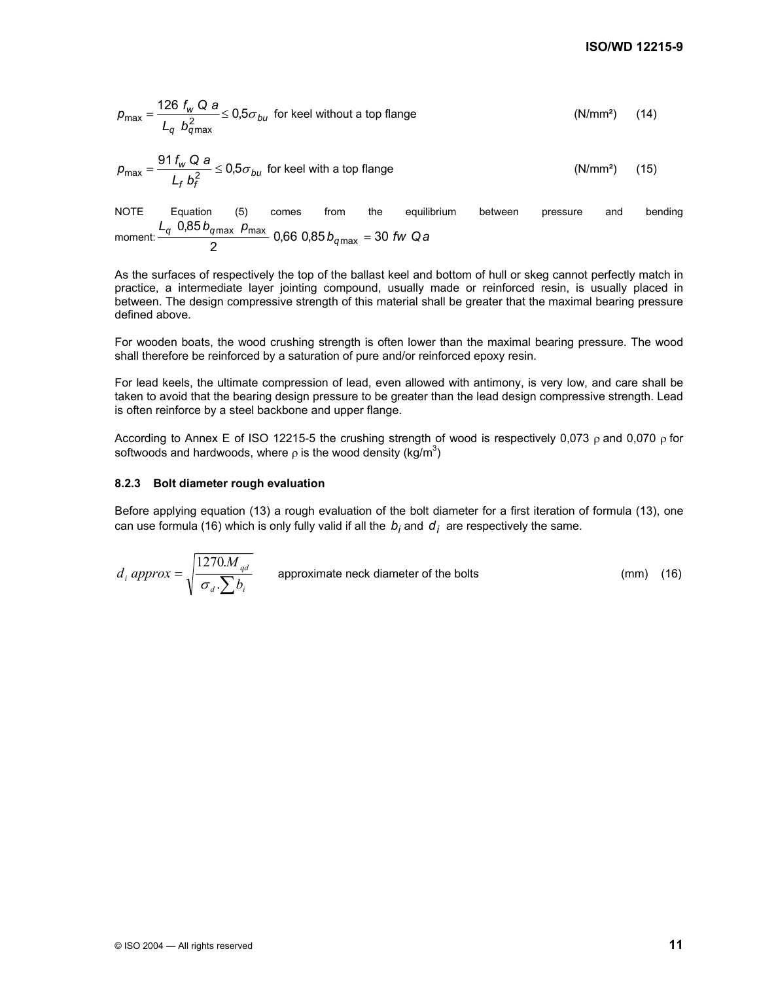#### **ISO/WD 12215-9**

$$
p_{\text{max}} = \frac{126 \ f_w \ Q \ a}{L_q \ b_{q\text{max}}^2} \le 0.5 \sigma_{bu} \text{ for keel without a top flange}
$$
 (N/mm<sup>2</sup>) (14)

$$
p_{\text{max}} = \frac{91 \, f_w \, Q \, a}{L_f \, b_f^2} \le 0.5 \sigma_{bu} \text{ for keel with a top flange}
$$
 (N/mm<sup>2</sup>) (15)

NOTE Equation (5) comes from the equilibrium between pressure and bending moment:  $\frac{q}{2}$   $\frac{q}{2}$   $\frac{q}{2}$   $\frac{q}{2}$   $\frac{q}{2}$   $\frac{q}{2}$   $\frac{r}{2}$   $\frac{r}{2}$   $\frac{q}{2}$   $\frac{q}{2}$   $\frac{r}{2}$   $\frac{q}{2}$   $\frac{r}{2}$   $\frac{q}{2}$   $\frac{r}{2}$   $\frac{q}{2}$   $\frac{r}{2}$   $\frac{r}{2}$   $\frac{q}{2}$   $\frac{r}{2}$   $\frac{r}{2}$   $\frac$  $L_{\alpha}$  0,85  $b_{\alpha \text{max}}$  p  $q^{q}$  <sup>0,65</sup>  $\nu_{qmax}$   $\nu_{max}$  0,66 0,85  $b_{qmax}$  = 30 2 0,85  $\frac{\text{max}}{\text{max}}$  0,66 0,85 $b_{q\text{max}} =$ 

As the surfaces of respectively the top of the ballast keel and bottom of hull or skeg cannot perfectly match in practice, a intermediate layer jointing compound, usually made or reinforced resin, is usually placed in between. The design compressive strength of this material shall be greater that the maximal bearing pressure defined above.

For wooden boats, the wood crushing strength is often lower than the maximal bearing pressure. The wood shall therefore be reinforced by a saturation of pure and/or reinforced epoxy resin.

For lead keels, the ultimate compression of lead, even allowed with antimony, is very low, and care shall be taken to avoid that the bearing design pressure to be greater than the lead design compressive strength. Lead is often reinforce by a steel backbone and upper flange.

According to Annex E of ISO 12215-5 the crushing strength of wood is respectively 0,073  $\rho$  and 0,070  $\rho$  for softwoods and hardwoods, where  $\rho$  is the wood density (kg/m<sup>3</sup>)

#### **8.2.3 Bolt diameter rough evaluation**

Before applying equation (13) a rough evaluation of the bolt diameter for a first iteration of formula (13), one can use formula (16) which is only fully valid if all the  $b_i$  and  $d_i$  are respectively the same.

$$
d_i \text{ approx} = \sqrt{\frac{1270.M_{qd}}{\sigma_d \cdot \sum b_i}}
$$
 approximate neck diameter of the bolts (mm) (16)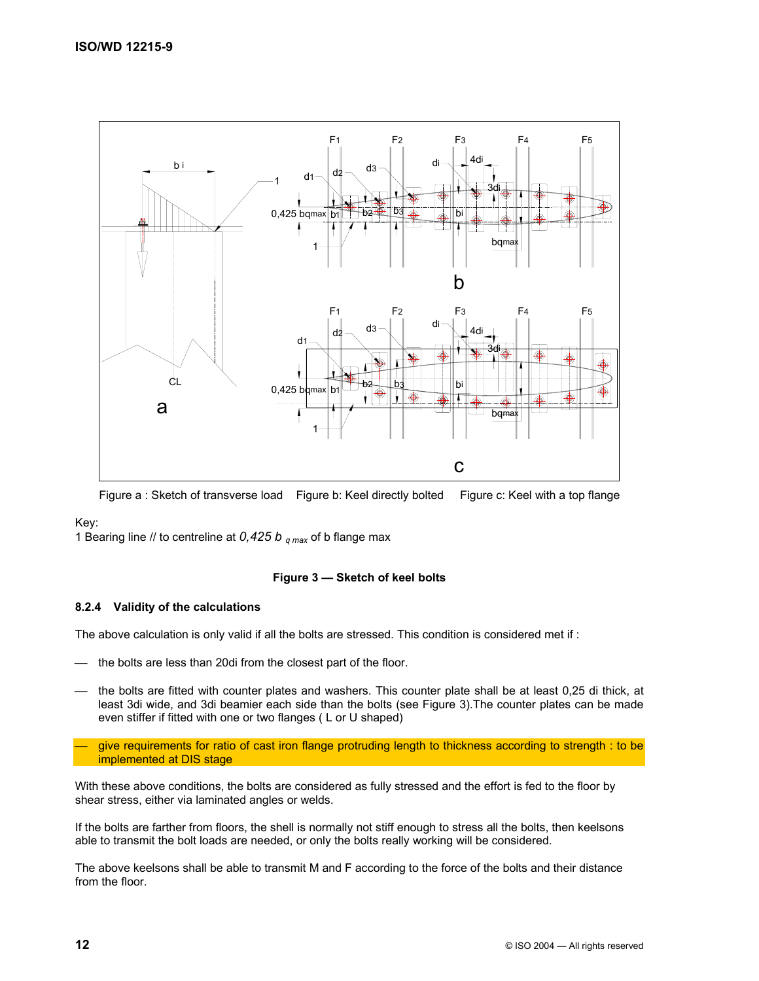

Figure a : Sketch of transverse load Figure b: Keel directly bolted Figure c: Keel with a top flange

Key:

1 Bearing line // to centreline at *0,425 b q max* of b flange max

#### **Figure 3 — Sketch of keel bolts**

#### **8.2.4 Validity of the calculations**

The above calculation is only valid if all the bolts are stressed. This condition is considered met if :

- the bolts are less than 20di from the closest part of the floor.
- the bolts are fitted with counter plates and washers. This counter plate shall be at least 0,25 di thick, at least 3di wide, and 3di beamier each side than the bolts (see Figure 3).The counter plates can be made even stiffer if fitted with one or two flanges ( L or U shaped)
- give requirements for ratio of cast iron flange protruding length to thickness according to strength : to be implemented at DIS stage

With these above conditions, the bolts are considered as fully stressed and the effort is fed to the floor by shear stress, either via laminated angles or welds.

If the bolts are farther from floors, the shell is normally not stiff enough to stress all the bolts, then keelsons able to transmit the bolt loads are needed, or only the bolts really working will be considered.

The above keelsons shall be able to transmit M and F according to the force of the bolts and their distance from the floor.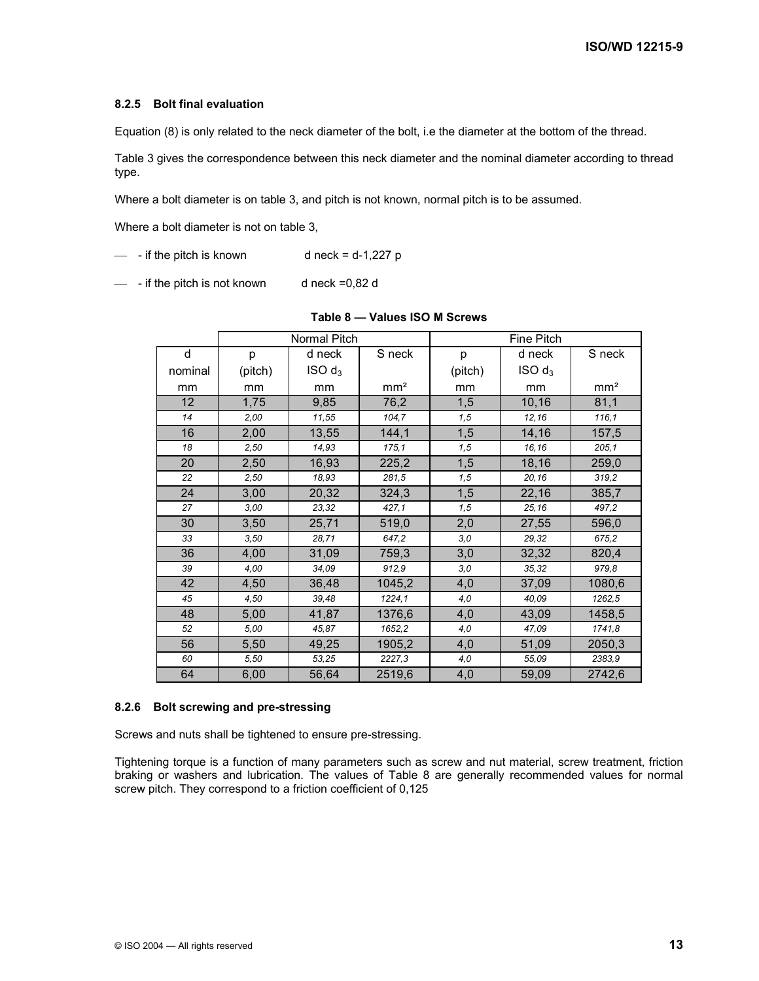#### **8.2.5 Bolt final evaluation**

Equation (8) is only related to the neck diameter of the bolt, i.e the diameter at the bottom of the thread.

Table 3 gives the correspondence between this neck diameter and the nominal diameter according to thread type.

Where a bolt diameter is on table 3, and pitch is not known, normal pitch is to be assumed.

Where a bolt diameter is not on table 3,

- $-$  if the pitch is known d neck = d-1,227 p
- $-$  if the pitch is not known d neck =0,82 d

|         | Normal Pitch |              |                 | Fine Pitch |              |                 |  |
|---------|--------------|--------------|-----------------|------------|--------------|-----------------|--|
| d       | p            | d neck       | S neck          | p          | d neck       | S neck          |  |
| nominal | (pitch)      | $ISO \, d_3$ |                 | (pitch)    | $ISO \, d_3$ |                 |  |
| mm      | mm           | mm           | mm <sup>2</sup> | mm         | mm           | mm <sup>2</sup> |  |
| 12      | 1,75         | 9,85         | 76,2            | 1,5        | 10,16        | 81,1            |  |
| 14      | 2,00         | 11,55        | 104,7           | 1,5        | 12,16        | 116,1           |  |
| 16      | 2,00         | 13,55        | 144,1           | 1,5        | 14,16        | 157,5           |  |
| 18      | 2,50         | 14,93        | 175, 1          | 1,5        | 16,16        | 205, 1          |  |
| 20      | 2,50         | 16,93        | 225,2           | 1,5        | 18,16        | 259,0           |  |
| 22      | 2,50         | 18,93        | 281,5           | 1,5        | 20, 16       | 319,2           |  |
| 24      | 3,00         | 20,32        | 324,3           | 1,5        | 22,16        | 385,7           |  |
| 27      | 3,00         | 23,32        | 427,1           | 1,5        | 25, 16       | 497,2           |  |
| 30      | 3,50         | 25,71        | 519,0           | 2,0        | 27,55        | 596,0           |  |
| 33      | 3,50         | 28,71        | 647,2           | 3,0        | 29,32        | 675,2           |  |
| 36      | 4,00         | 31,09        | 759,3           | 3,0        | 32,32        | 820,4           |  |
| 39      | 4,00         | 34,09        | 912,9           | 3,0        | 35,32        | 979,8           |  |
| 42      | 4,50         | 36,48        | 1045,2          | 4,0        | 37,09        | 1080,6          |  |
| 45      | 4,50         | 39,48        | 1224,1          | 4,0        | 40,09        | 1262,5          |  |
| 48      | 5,00         | 41,87        | 1376,6          | 4,0        | 43,09        | 1458,5          |  |
| 52      | 5,00         | 45,87        | 1652,2          | 4,0        | 47,09        | 1741,8          |  |
| 56      | 5,50         | 49,25        | 1905,2          | 4,0        | 51,09        | 2050,3          |  |
| 60      | 5,50         | 53,25        | 2227,3          | 4,0        | 55,09        | 2383,9          |  |
| 64      | 6,00         | 56,64        | 2519,6          | 4,0        | 59,09        | 2742,6          |  |

#### **Table 8 — Values ISO M Screws**

#### **8.2.6 Bolt screwing and pre-stressing**

Screws and nuts shall be tightened to ensure pre-stressing.

Tightening torque is a function of many parameters such as screw and nut material, screw treatment, friction braking or washers and lubrication. The values of Table 8 are generally recommended values for normal screw pitch. They correspond to a friction coefficient of 0,125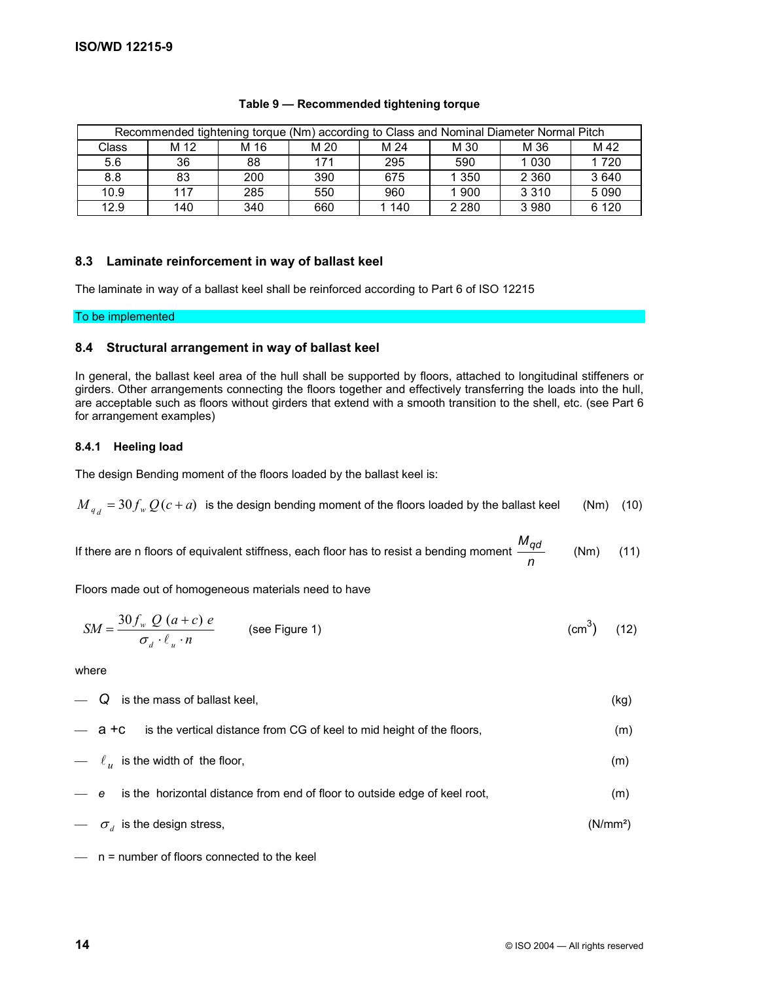| Recommended tightening torque (Nm) according to Class and Nominal Diameter Normal Pitch |      |      |      |       |         |         |         |
|-----------------------------------------------------------------------------------------|------|------|------|-------|---------|---------|---------|
| Class                                                                                   | M 12 | M 16 | M 20 | M 24  | M 30    | M 36    | M 42    |
| 5.6                                                                                     | 36   | 88   | 171  | 295   | 590     | 1 0 3 0 | 1720    |
| 8.8                                                                                     | 83   | 200  | 390  | 675   | 1 3 5 0 | 2 3 6 0 | 3640    |
| 10.9                                                                                    | 117  | 285  | 550  | 960   | 1900    | 3 3 1 0 | 5 0 9 0 |
| 12.9                                                                                    | 140  | 340  | 660  | 1 140 | 2 2 8 0 | 3980    | 6 1 2 0 |

#### **Table 9 — Recommended tightening torque**

## **8.3 Laminate reinforcement in way of ballast keel**

The laminate in way of a ballast keel shall be reinforced according to Part 6 of ISO 12215

#### To be implemented

## **8.4 Structural arrangement in way of ballast keel**

In general, the ballast keel area of the hull shall be supported by floors, attached to longitudinal stiffeners or girders. Other arrangements connecting the floors together and effectively transferring the loads into the hull, are acceptable such as floors without girders that extend with a smooth transition to the shell, etc. (see Part 6 for arrangement examples)

#### **8.4.1 Heeling load**

The design Bending moment of the floors loaded by the ballast keel is:

$$
M_{q_d} = 30 f_w Q(c+a)
$$
 is the design bending moment of the floors loaded by the ballast keel (Nm) (10)

If there are n floors of equivalent stiffness, each floor has to resist a bending moment *n Mqd* (Nm) (11)

Floors made out of homogeneous materials need to have

$$
SM = \frac{30f_w Q (a+c) e}{\sigma_d \cdot \ell_u \cdot n}
$$
 (see Figure 1) (cm<sup>3</sup>) (12)

where

|  | $\sim$ Q is the mass of ballast keel, | (kg) |
|--|---------------------------------------|------|
|  |                                       |      |

 $\overline{a}$  a +c is the vertical distance from CG of keel to mid height of the floors, (m)

|  | $-\ell_{\nu}$ is the width of the floor, | (m) |
|--|------------------------------------------|-----|
|--|------------------------------------------|-----|

- *e* is the horizontal distance from end of floor to outside edge of keel root, (m) (m)
- $\sigma_{d}$  is the design stress,  $(N/mm<sup>2</sup>)$
- $-$  n = number of floors connected to the keel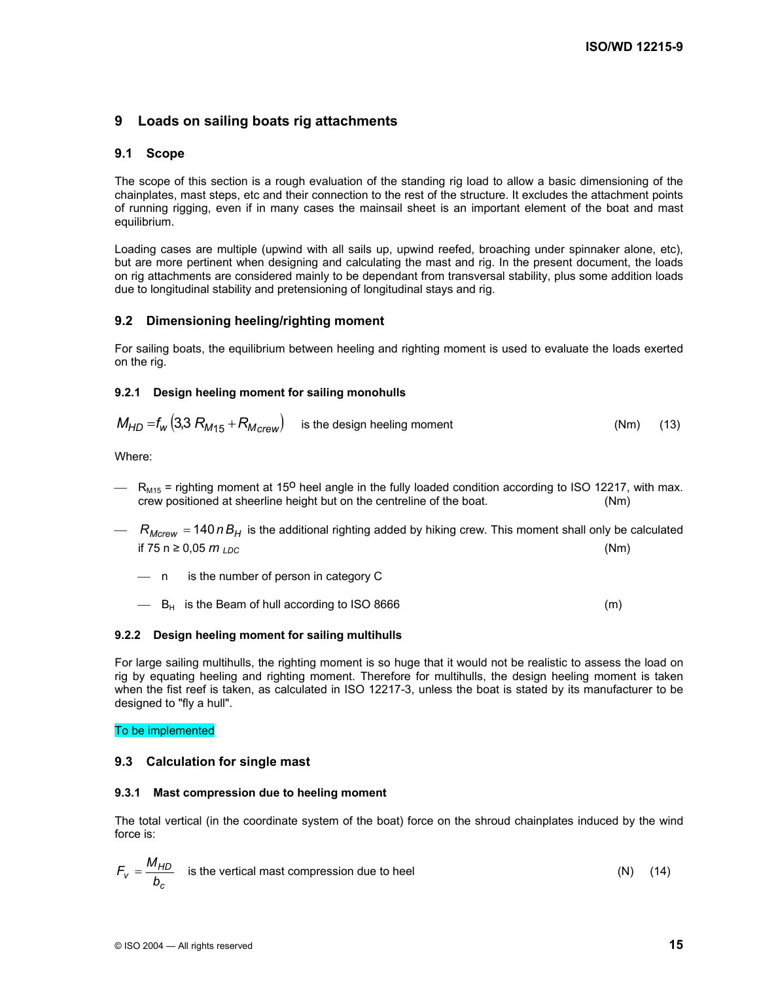## **9 Loads on sailing boats rig attachments**

#### **9.1 Scope**

The scope of this section is a rough evaluation of the standing rig load to allow a basic dimensioning of the chainplates, mast steps, etc and their connection to the rest of the structure. It excludes the attachment points of running rigging, even if in many cases the mainsail sheet is an important element of the boat and mast equilibrium.

Loading cases are multiple (upwind with all sails up, upwind reefed, broaching under spinnaker alone, etc), but are more pertinent when designing and calculating the mast and rig. In the present document, the loads on rig attachments are considered mainly to be dependant from transversal stability, plus some addition loads due to longitudinal stability and pretensioning of longitudinal stays and rig.

## **9.2 Dimensioning heeling/righting moment**

For sailing boats, the equilibrium between heeling and righting moment is used to evaluate the loads exerted on the rig.

#### **9.2.1 Design heeling moment for sailing monohulls**

$$
M_{HD} = f_{W} (3.3 R_{M15} + R_{M_{C} / \text{eV}})
$$
 is the design height moment (Nm) (13)

Where:

- $R_{M15}$  = righting moment at 15<sup>0</sup> heel angle in the fully loaded condition according to ISO 12217, with max. crew positioned at sheerline height but on the centreline of the boat. (Nm)
- *RMcrew* = 140*nBH* is the additional righting added by hiking crew. This moment shall only be calculated if  $75 \text{ n} \geq 0.05 \text{ m}$  <sub>LDC</sub> (Nm)
	- n is the number of person in category C
	- $-B<sub>H</sub>$  is the Beam of hull according to ISO 8666 (m)

#### **9.2.2 Design heeling moment for sailing multihulls**

For large sailing multihulls, the righting moment is so huge that it would not be realistic to assess the load on rig by equating heeling and righting moment. Therefore for multihulls, the design heeling moment is taken when the fist reef is taken, as calculated in ISO 12217-3, unless the boat is stated by its manufacturer to be designed to "fly a hull".

#### To be implemented

#### **9.3 Calculation for single mast**

#### **9.3.1 Mast compression due to heeling moment**

The total vertical (in the coordinate system of the boat) force on the shroud chainplates induced by the wind force is:

$$
F_v = \frac{M_{HD}}{b_c}
$$
 is the vertical mast compression due to heel (N) (14)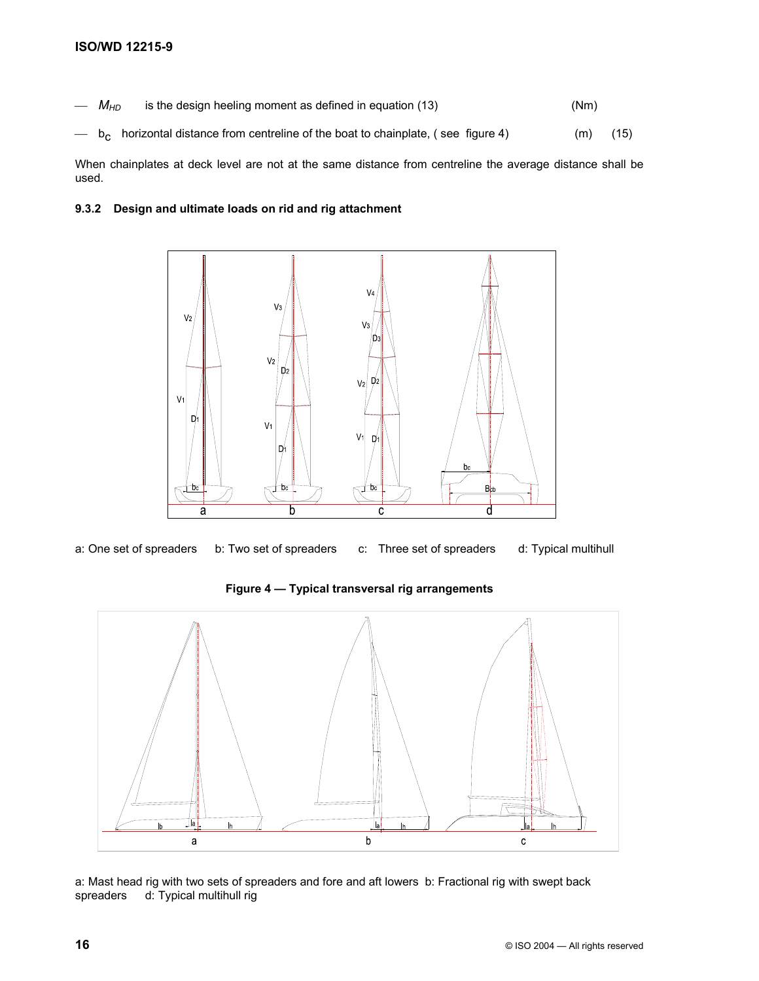|  | $M_{HD}$ | is the design heeling moment as defined in equation (13) | (Nm) |
|--|----------|----------------------------------------------------------|------|
|--|----------|----------------------------------------------------------|------|

 $b_c$  horizontal distance from centreline of the boat to chainplate, (see figure 4) (m) (15)

When chainplates at deck level are not at the same distance from centreline the average distance shall be used.

#### **9.3.2 Design and ultimate loads on rid and rig attachment**



a: One set of spreaders b: Two set of spreaders c: Three set of spreaders d: Typical multihull

**Figure 4 — Typical transversal rig arrangements** 



a: Mast head rig with two sets of spreaders and fore and aft lowers b: Fractional rig with swept back spreaders d: Typical multihull rig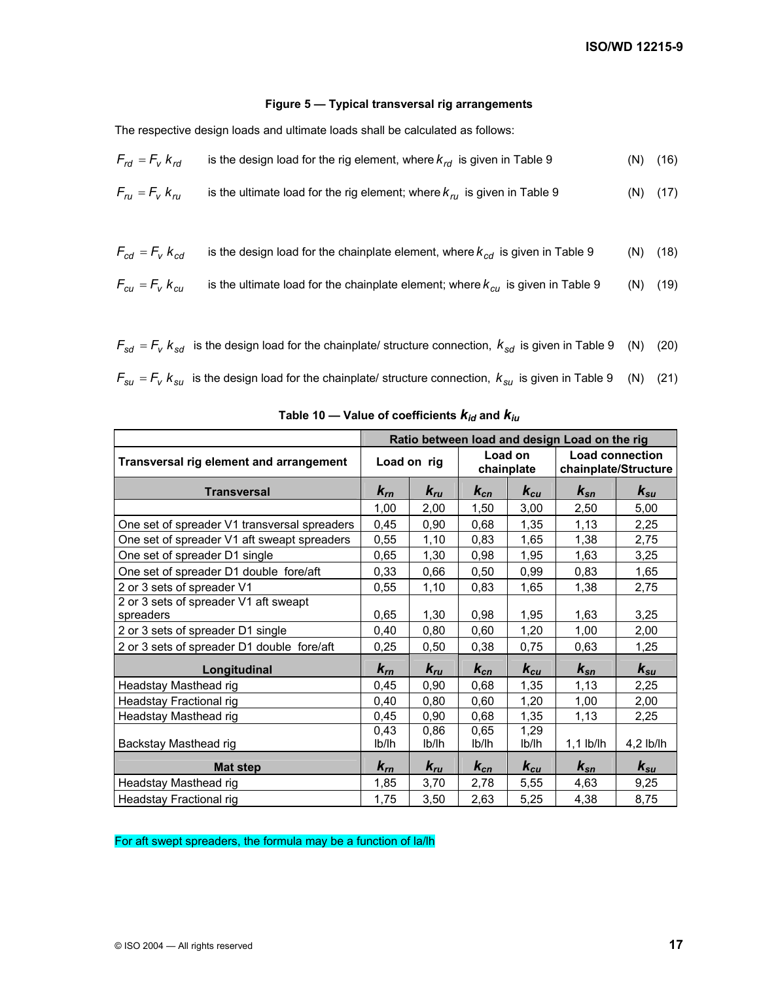#### **Figure 5 — Typical transversal rig arrangements**

The respective design loads and ultimate loads shall be calculated as follows:

| $F_{\text{rd}} = F_{\text{v}} k_{\text{rd}}$ | is the design load for the rig element, where $k_{rd}$ is given in Table 9     | $(N)$ (16) |
|----------------------------------------------|--------------------------------------------------------------------------------|------------|
| $F_{\mu\nu} = F_{\nu} k_{\mu\nu}$            | is the ultimate load for the rig element; where $k_{\tau}$ is given in Table 9 | $(N)$ (17) |

|  | $F_{cd} = F_{v} k_{cd}$ is the design load for the chainplate element, where $k_{cd}$ is given in Table 9 | $(N)$ (18) |  |
|--|-----------------------------------------------------------------------------------------------------------|------------|--|
|--|-----------------------------------------------------------------------------------------------------------|------------|--|

 $F_{cu} = F_v k_{cu}$  is the ultimate load for the chainplate element; where  $k_{cu}$  is given in Table 9 (N) (19)

 $F_{sd} = F_v k_{sd}$  is the design load for the chainplate/ structure connection,  $k_{sd}$  is given in Table 9 (N) (20)

 $F_{su} = F_v k_{su}$  is the design load for the chainplate/ structure connection,  $k_{su}$  is given in Table 9 (N) (21)

|                                              | Ratio between load and design Load on the rig |               |               |                       |              |                                                |  |  |
|----------------------------------------------|-----------------------------------------------|---------------|---------------|-----------------------|--------------|------------------------------------------------|--|--|
| Transversal rig element and arrangement      |                                               | Load on rig   |               | Load on<br>chainplate |              | <b>Load connection</b><br>chainplate/Structure |  |  |
| Transversal                                  |                                               | $k_{ru}$      | $k_{cn}$      | $k_{cu}$              | $k_{sn}$     | $k_{su}$                                       |  |  |
|                                              | 1,00                                          | 2,00          | 1,50          | 3,00                  | 2,50         | 5,00                                           |  |  |
| One set of spreader V1 transversal spreaders | 0,45                                          | 0,90          | 0,68          | 1,35                  | 1,13         | 2,25                                           |  |  |
| One set of spreader V1 aft sweapt spreaders  | 0,55                                          | 1,10          | 0,83          | 1,65                  | 1,38         | 2,75                                           |  |  |
| One set of spreader D1 single                | 0,65                                          | 1,30          | 0,98          | 1,95                  | 1,63         | 3,25                                           |  |  |
| One set of spreader D1 double fore/aft       | 0,33                                          | 0,66          | 0,50          | 0,99                  | 0,83         | 1,65                                           |  |  |
| 2 or 3 sets of spreader V1                   | 0,55                                          | 1,10          | 0,83          | 1,65                  | 1,38         | 2,75                                           |  |  |
| 2 or 3 sets of spreader V1 aft sweapt        |                                               |               |               |                       |              |                                                |  |  |
| spreaders                                    | 0,65                                          | 1,30          | 0,98          | 1,95                  | 1,63         | 3,25                                           |  |  |
| 2 or 3 sets of spreader D1 single            | 0,40                                          | 0,80          | 0,60          | 1,20                  | 1,00         | 2,00                                           |  |  |
| 2 or 3 sets of spreader D1 double fore/aft   | 0,25                                          | 0,50          | 0,38          | 0,75                  | 0,63         | 1,25                                           |  |  |
| Longitudinal                                 | $k_{rn}$                                      | $k_{ru}$      | $k_{cn}$      | $k_{c}$               | $k_{\rm sn}$ | $\bm{k_{s u}}$                                 |  |  |
| Headstay Masthead rig                        | 0,45                                          | 0,90          | 0,68          | 1,35                  | 1,13         | 2,25                                           |  |  |
| Headstay Fractional rig                      | 0,40                                          | 0,80          | 0,60          | 1,20                  | 1,00         | 2,00                                           |  |  |
| Headstay Masthead rig                        | 0,45                                          | 0,90          | 0,68          | 1,35                  | 1,13         | 2,25                                           |  |  |
| Backstay Masthead rig                        | 0,43<br>lb/lh                                 | 0,86<br>lb/lh | 0,65<br>Ib/Ih | 1,29<br>lb/lh         | $1,1$ lb/lh  | 4,2 lb/lh                                      |  |  |
| <b>Mat step</b>                              | $k_{rn}$                                      | $k_{ru}$      | $k_{cn}$      | $k_{cu}$              | $k_{sn}$     | $k_{su}$                                       |  |  |
| Headstay Masthead rig                        | 1,85                                          | 3,70          | 2,78          | 5,55                  | 4,63         | 9,25                                           |  |  |
| Headstay Fractional rig                      | 1,75                                          | 3,50          | 2,63          | 5,25                  | 4,38         | 8,75                                           |  |  |

|  |  | Table 10 – Value of coefficients $k_{id}$ and $k_{iu}$ |  |  |
|--|--|--------------------------------------------------------|--|--|
|--|--|--------------------------------------------------------|--|--|

For aft swept spreaders, the formula may be a function of la/lh

© ISO 2004 — All rights reserved **17**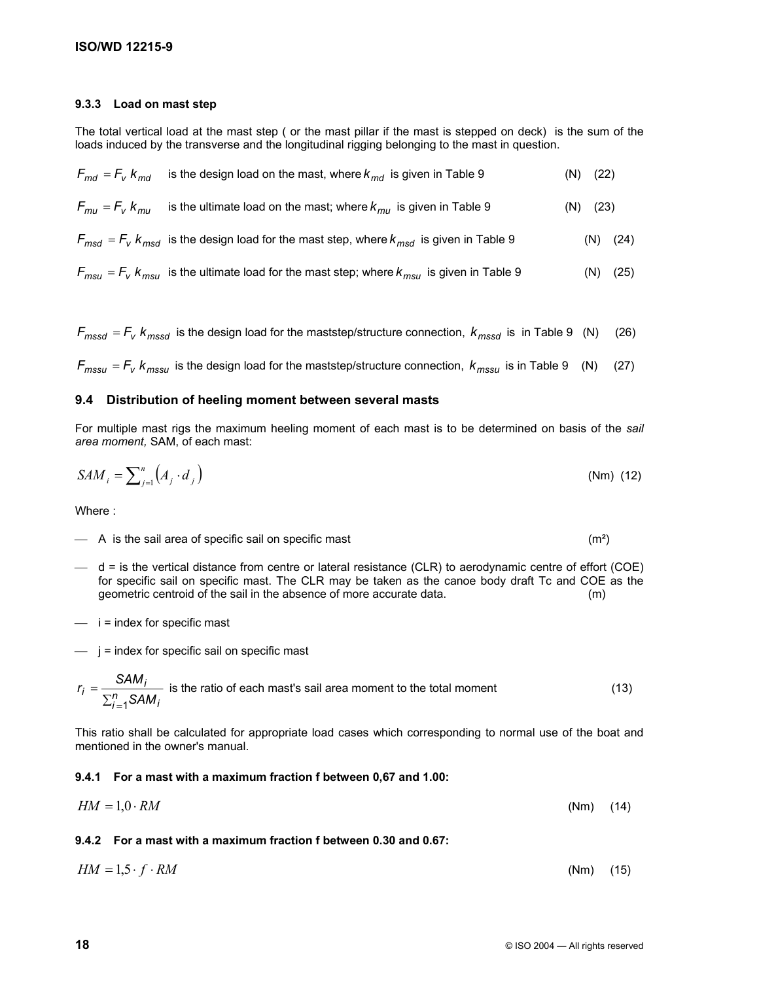#### **9.3.3 Load on mast step**

The total vertical load at the mast step ( or the mast pillar if the mast is stepped on deck) is the sum of the loads induced by the transverse and the longitudinal rigging belonging to the mast in question.

| $F_{md} = F_v k_{md}$ | is the design load on the mast, where $k_{md}$ is given in Table 9                                  | $(N)$ (22) |     |            |
|-----------------------|-----------------------------------------------------------------------------------------------------|------------|-----|------------|
| $F_{mu} = F_v K_{mu}$ | is the ultimate load on the mast; where $k_{mu}$ is given in Table 9                                | $(N)$ (23) |     |            |
|                       | $F_{msd} = F_v k_{msd}$ is the design load for the mast step, where $k_{msd}$ is given in Table 9   |            |     | $(N)$ (24) |
|                       | $F_{msu} = F_v k_{msu}$ is the ultimate load for the mast step; where $k_{msu}$ is given in Table 9 |            | (N) | (25)       |

 $F_{mssd} = F_v k_{mssd}$  is the design load for the maststep/structure connection,  $k_{mssd}$  is in Table 9 (N) (26)

 $F_{\text{mssu}} = F_v k_{\text{mssu}}$  is the design load for the maststep/structure connection,  $k_{\text{mssu}}$  is in Table 9 (N) (27)

#### **9.4 Distribution of heeling moment between several masts**

For multiple mast rigs the maximum heeling moment of each mast is to be determined on basis of the *sail area moment,* SAM, of each mast:

$$
SAM_i = \sum_{j=1}^{n} \left( A_j \cdot d_j \right) \tag{Nm}
$$

Where :

- $\overline{A}$  is the sail area of specific sail on specific mast  $(m^2)$
- $-$  d = is the vertical distance from centre or lateral resistance (CLR) to aerodynamic centre of effort (COE) for specific sail on specific mast. The CLR may be taken as the canoe body draft Tc and COE as the geometric centroid of the sail in the absence of more accurate data. (m)
- $\equiv$  i = index for specific mast
- $\frac{1}{1}$  = index for specific sail on specific mast

$$
r_i = \frac{SAM_i}{\sum_{i=1}^{n} SAM_i}
$$
 is the ratio of each mast's sail area moment to the total moment (13)

This ratio shall be calculated for appropriate load cases which corresponding to normal use of the boat and mentioned in the owner's manual.

#### **9.4.1 For a mast with a maximum fraction f between 0,67 and 1.00:**

$$
HM = 1.0 \cdot RM \tag{Nm} \tag{14}
$$

#### **9.4.2 For a mast with a maximum fraction f between 0.30 and 0.67:**

| $HM = 1.5 \cdot f \cdot RM$ | $(Nm)$ (15) |  |
|-----------------------------|-------------|--|
|                             |             |  |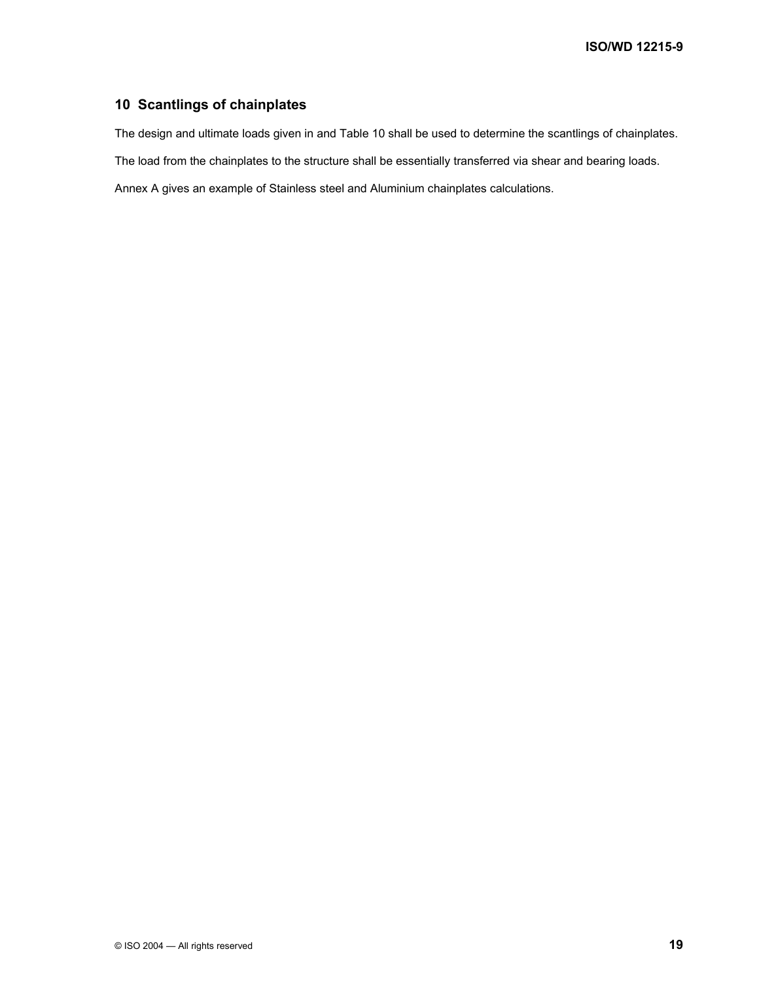## **10 Scantlings of chainplates**

The design and ultimate loads given in and Table 10 shall be used to determine the scantlings of chainplates.

The load from the chainplates to the structure shall be essentially transferred via shear and bearing loads.

Annex A gives an example of Stainless steel and Aluminium chainplates calculations.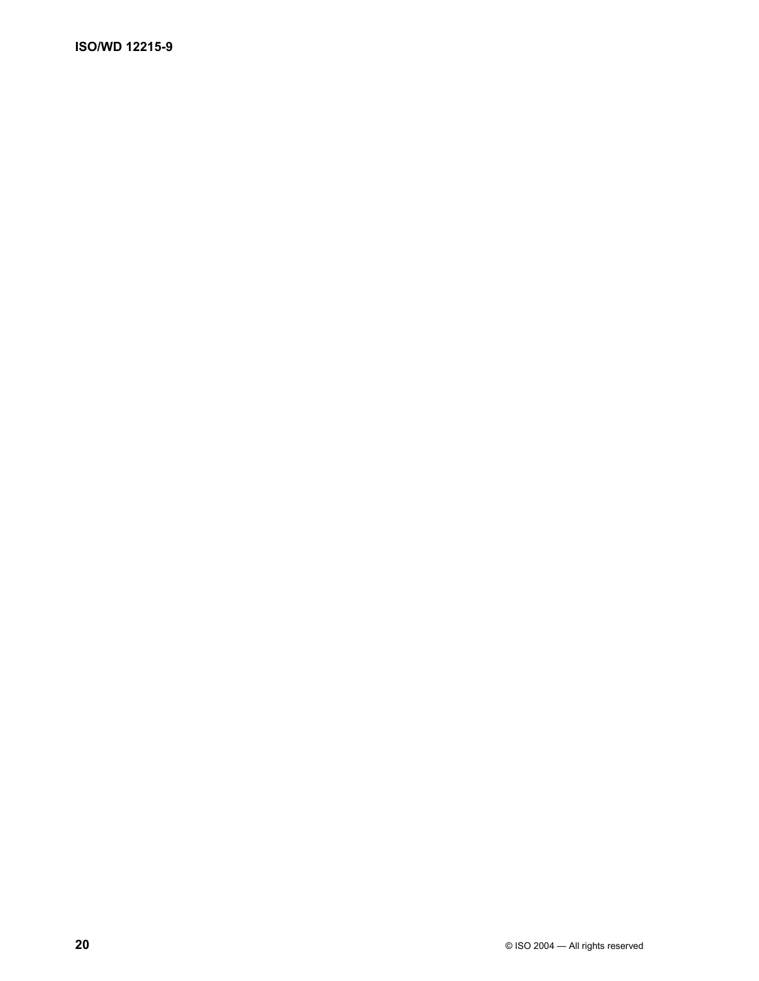**ISO/WD 12215-9**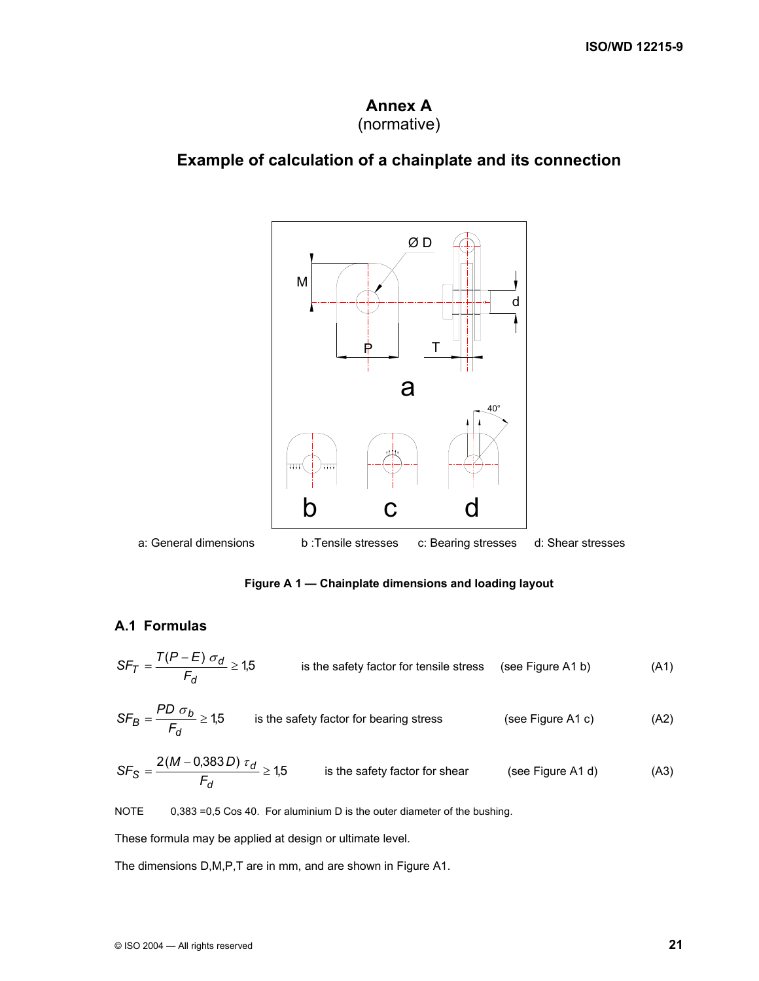## **Annex A** (normative)

# **Example of calculation of a chainplate and its connection**



**Figure A 1 — Chainplate dimensions and loading layout** 

## **A.1 Formulas**

$$
SF_T = \frac{T(P - E) \sigma_d}{F_d} \ge 1.5
$$
 is the safety factor for tensile stress (see Figure A1 b) (A1)

$$
SF_B = \frac{PD \space \sigma_b}{F_d} \ge 1.5
$$
 is the safety factor for bearing stress (see Figure A1 c) (A2)

$$
SF_S = \frac{2(M - 0.383D) \tau_d}{F_d} \ge 1.5
$$
 is the safety factor for shear (see Figure A1 d) (A3)

NOTE 0,383 = 0,5 Cos 40. For aluminium D is the outer diameter of the bushing.

These formula may be applied at design or ultimate level.

The dimensions D,M,P,T are in mm, and are shown in Figure A1.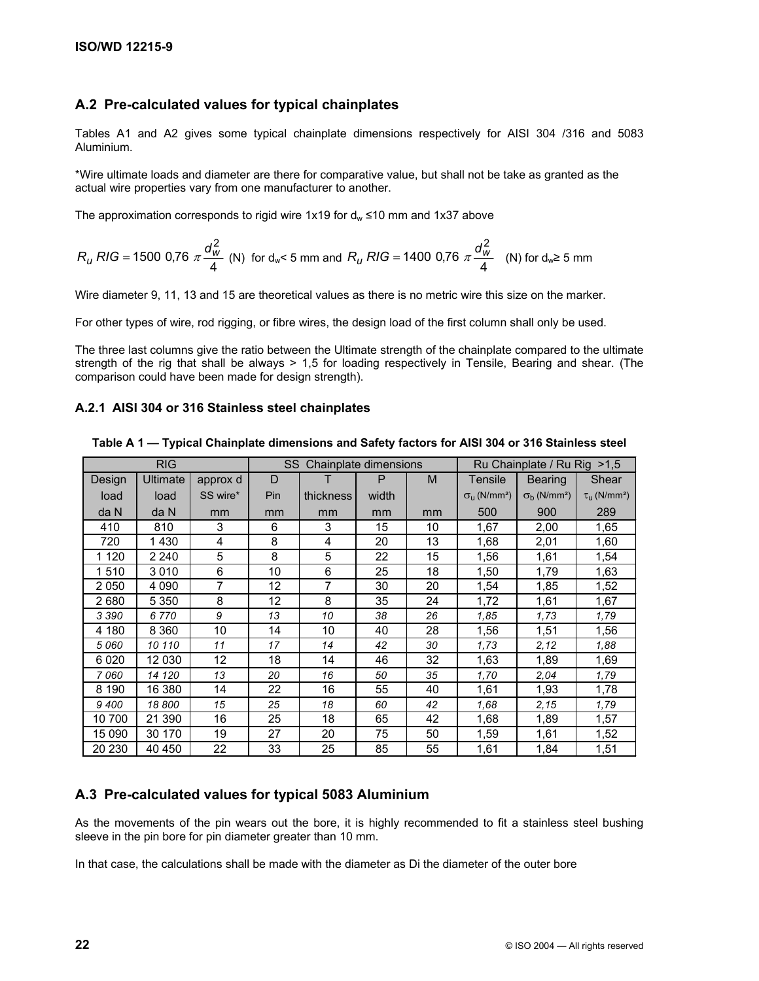## **A.2 Pre-calculated values for typical chainplates**

Tables A1 and A2 gives some typical chainplate dimensions respectively for AISI 304 /316 and 5083 Aluminium.

\*Wire ultimate loads and diameter are there for comparative value, but shall not be take as granted as the actual wire properties vary from one manufacturer to another.

The approximation corresponds to rigid wire 1x19 for  $d_w \le 10$  mm and 1x37 above

$$
R_u \text{ RIG} = 1500 \text{ 0.76 } \pi \frac{d_w^2}{4} \text{ (N) for } d_w < 5 \text{ mm and } R_u \text{ RIG} = 1400 \text{ 0.76 } \pi \frac{d_w^2}{4} \text{ (N) for } d_w \ge 5 \text{ mm}
$$

Wire diameter 9, 11, 13 and 15 are theoretical values as there is no metric wire this size on the marker.

For other types of wire, rod rigging, or fibre wires, the design load of the first column shall only be used.

The three last columns give the ratio between the Ultimate strength of the chainplate compared to the ultimate strength of the rig that shall be always > 1,5 for loading respectively in Tensile, Bearing and shear. (The comparison could have been made for design strength).

## **A.2.1 AISI 304 or 316 Stainless steel chainplates**

**Table A 1 — Typical Chainplate dimensions and Safety factors for AISI 304 or 316 Stainless steel** 

| <b>RIG</b> |                 |                | SS.<br>Chainplate dimensions |                |       |    | Ru Chainplate / Ru Rig >1,5               |                                       |                                     |
|------------|-----------------|----------------|------------------------------|----------------|-------|----|-------------------------------------------|---------------------------------------|-------------------------------------|
| Design     | <b>Ultimate</b> | approx d       | D                            |                | P     | M  | Tensile                                   | <b>Bearing</b>                        | Shear                               |
| load       | load            | SS wire*       | Pin                          | thickness      | width |    | $\sigma_{\text{II}}$ (N/mm <sup>2</sup> ) | $\sigma_{\rm h}$ (N/mm <sup>2</sup> ) | $\tau_{\rm H}$ (N/mm <sup>2</sup> ) |
| da N       | da N            | mm             | mm                           | mm             | mm    | mm | 500                                       | 900                                   | 289                                 |
| 410        | 810             | 3              | 6                            | 3              | 15    | 10 | 1,67                                      | 2,00                                  | 1,65                                |
| 720        | 1430            | 4              | 8                            | 4              | 20    | 13 | 1,68                                      | 2,01                                  | 1,60                                |
| 1 1 2 0    | 2 2 4 0         | 5              | 8                            | 5              | 22    | 15 | 1,56                                      | 1,61                                  | 1,54                                |
| 1510       | 3010            | 6              | 10                           | 6              | 25    | 18 | 1,50                                      | 1,79                                  | 1,63                                |
| 2 0 5 0    | 4 0 9 0         | $\overline{7}$ | 12                           | $\overline{7}$ | 30    | 20 | 1,54                                      | 1,85                                  | 1,52                                |
| 2680       | 5 3 5 0         | 8              | 12                           | 8              | 35    | 24 | 1,72                                      | 1,61                                  | 1,67                                |
| 3 3 9 0    | 6770            | 9              | 13                           | 10             | 38    | 26 | 1,85                                      | 1,73                                  | 1,79                                |
| 4 180      | 8 3 6 0         | 10             | 14                           | 10             | 40    | 28 | 1,56                                      | 1,51                                  | 1,56                                |
| 5060       | 10 110          | 11             | 17                           | 14             | 42    | 30 | 1,73                                      | 2,12                                  | 1,88                                |
| 6020       | 12 030          | 12             | 18                           | 14             | 46    | 32 | 1,63                                      | 1,89                                  | 1,69                                |
| 7060       | 14 120          | 13             | 20                           | 16             | 50    | 35 | 1,70                                      | 2,04                                  | 1,79                                |
| 8 1 9 0    | 16 380          | 14             | 22                           | 16             | 55    | 40 | 1,61                                      | 1,93                                  | 1,78                                |
| 9400       | 18 800          | 15             | 25                           | 18             | 60    | 42 | 1,68                                      | 2,15                                  | 1,79                                |
| 10 700     | 21 390          | 16             | 25                           | 18             | 65    | 42 | 1,68                                      | 1,89                                  | 1,57                                |
| 15 0 9 0   | 30 170          | 19             | 27                           | 20             | 75    | 50 | 1,59                                      | 1,61                                  | 1,52                                |
| 20 230     | 40 450          | 22             | 33                           | 25             | 85    | 55 | 1,61                                      | 1,84                                  | 1,51                                |

## **A.3 Pre-calculated values for typical 5083 Aluminium**

As the movements of the pin wears out the bore, it is highly recommended to fit a stainless steel bushing sleeve in the pin bore for pin diameter greater than 10 mm.

In that case, the calculations shall be made with the diameter as Di the diameter of the outer bore